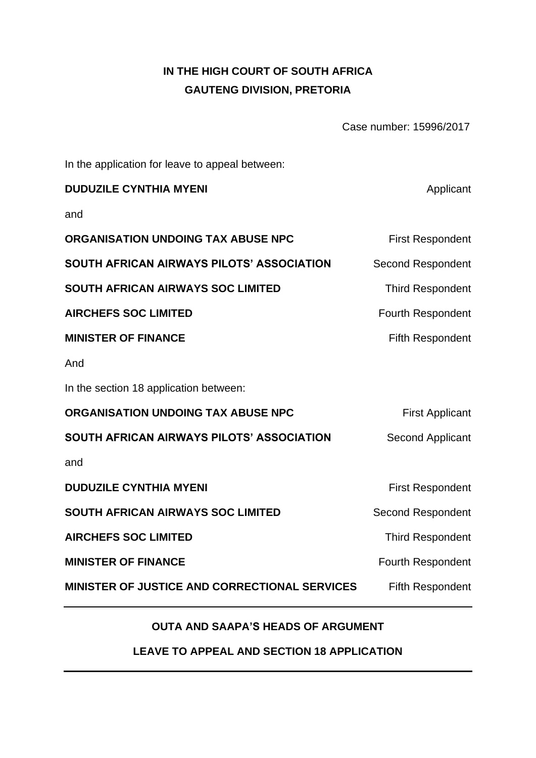# **IN THE HIGH COURT OF SOUTH AFRICA GAUTENG DIVISION, PRETORIA**

Case number: 15996/2017

In the application for leave to appeal between:

| <b>DUDUZILE CYNTHIA MYENI</b>                        | Applicant                |
|------------------------------------------------------|--------------------------|
| and                                                  |                          |
| ORGANISATION UNDOING TAX ABUSE NPC                   | <b>First Respondent</b>  |
| SOUTH AFRICAN AIRWAYS PILOTS' ASSOCIATION            | <b>Second Respondent</b> |
| <b>SOUTH AFRICAN AIRWAYS SOC LIMITED</b>             | <b>Third Respondent</b>  |
| <b>AIRCHEFS SOC LIMITED</b>                          | Fourth Respondent        |
| <b>MINISTER OF FINANCE</b>                           | <b>Fifth Respondent</b>  |
| And                                                  |                          |
| In the section 18 application between:               |                          |
| ORGANISATION UNDOING TAX ABUSE NPC                   | <b>First Applicant</b>   |
| SOUTH AFRICAN AIRWAYS PILOTS' ASSOCIATION            | <b>Second Applicant</b>  |
| and                                                  |                          |
| <b>DUDUZILE CYNTHIA MYENI</b>                        | <b>First Respondent</b>  |
| <b>SOUTH AFRICAN AIRWAYS SOC LIMITED</b>             | <b>Second Respondent</b> |
| <b>AIRCHEFS SOC LIMITED</b>                          | <b>Third Respondent</b>  |
| <b>MINISTER OF FINANCE</b>                           | Fourth Respondent        |
| <b>MINISTER OF JUSTICE AND CORRECTIONAL SERVICES</b> | <b>Fifth Respondent</b>  |

## **OUTA AND SAAPA'S HEADS OF ARGUMENT**

**LEAVE TO APPEAL AND SECTION 18 APPLICATION**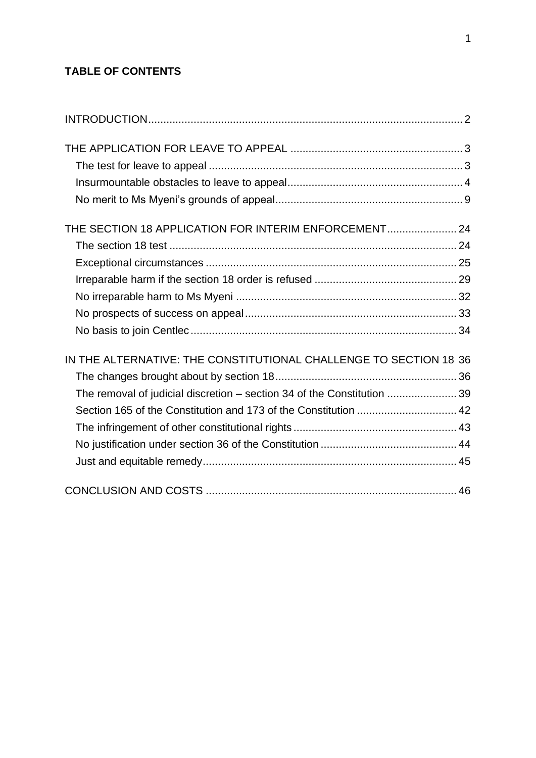## **TABLE OF CONTENTS**

| THE SECTION 18 APPLICATION FOR INTERIM ENFORCEMENT 24                   |  |
|-------------------------------------------------------------------------|--|
|                                                                         |  |
|                                                                         |  |
|                                                                         |  |
|                                                                         |  |
|                                                                         |  |
|                                                                         |  |
| IN THE ALTERNATIVE: THE CONSTITUTIONAL CHALLENGE TO SECTION 18 36       |  |
|                                                                         |  |
| The removal of judicial discretion - section 34 of the Constitution  39 |  |
| Section 165 of the Constitution and 173 of the Constitution  42         |  |
|                                                                         |  |
|                                                                         |  |
|                                                                         |  |
|                                                                         |  |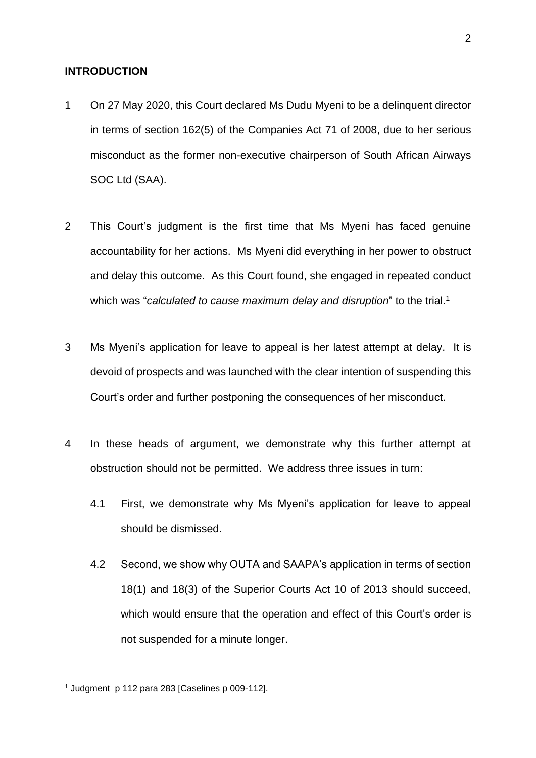#### <span id="page-2-0"></span>**INTRODUCTION**

- 1 On 27 May 2020, this Court declared Ms Dudu Myeni to be a delinquent director in terms of section 162(5) of the Companies Act 71 of 2008, due to her serious misconduct as the former non-executive chairperson of South African Airways SOC Ltd (SAA).
- 2 This Court's judgment is the first time that Ms Myeni has faced genuine accountability for her actions. Ms Myeni did everything in her power to obstruct and delay this outcome. As this Court found, she engaged in repeated conduct which was "*calculated to cause maximum delay and disruption*" to the trial.<sup>1</sup>
- 3 Ms Myeni's application for leave to appeal is her latest attempt at delay. It is devoid of prospects and was launched with the clear intention of suspending this Court's order and further postponing the consequences of her misconduct.
- 4 In these heads of argument, we demonstrate why this further attempt at obstruction should not be permitted. We address three issues in turn:
	- 4.1 First, we demonstrate why Ms Myeni's application for leave to appeal should be dismissed.
	- 4.2 Second, we show why OUTA and SAAPA's application in terms of section 18(1) and 18(3) of the Superior Courts Act 10 of 2013 should succeed, which would ensure that the operation and effect of this Court's order is not suspended for a minute longer.

<sup>1</sup> Judgment p 112 para 283 [Caselines p 009-112].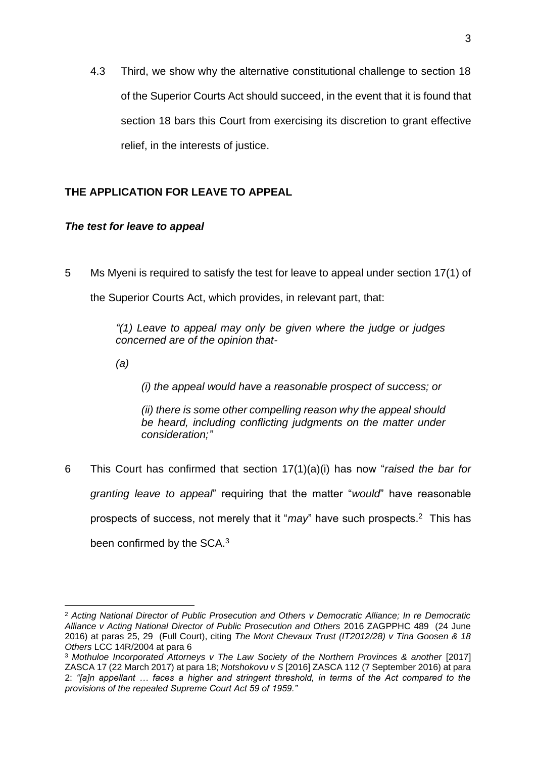4.3 Third, we show why the alternative constitutional challenge to section 18 of the Superior Courts Act should succeed, in the event that it is found that section 18 bars this Court from exercising its discretion to grant effective relief, in the interests of justice.

## <span id="page-3-1"></span><span id="page-3-0"></span>**THE APPLICATION FOR LEAVE TO APPEAL**

## *The test for leave to appeal*

5 Ms Myeni is required to satisfy the test for leave to appeal under section 17(1) of the Superior Courts Act, which provides, in relevant part, that:

> *"(1) Leave to appeal may only be given where the judge or judges concerned are of the opinion that-*

*(a)*

*(i) the appeal would have a reasonable prospect of success; or*

*(ii) there is some other compelling reason why the appeal should be heard, including conflicting judgments on the matter under consideration;"*

6 This Court has confirmed that section 17(1)(a)(i) has now "*raised the bar for granting leave to appeal*" requiring that the matter "*would*" have reasonable prospects of success, not merely that it "*may*" have such prospects. 2 This has been confirmed by the SCA.<sup>3</sup>

<sup>2</sup> *Acting National Director of Public Prosecution and Others v Democratic Alliance; In re Democratic Alliance v Acting National Director of Public Prosecution and Others* 2016 ZAGPPHC 489 (24 June 2016) at paras 25, 29 (Full Court), citing *The Mont Chevaux Trust (IT2012/28) v Tina Goosen & 18 Others* LCC 14R/2004 at para 6

<sup>3</sup> *Mothuloe Incorporated Attorneys v The Law Society of the Northern Provinces & another* [2017] ZASCA 17 (22 March 2017) at para 18; *Notshokovu v S* [2016] ZASCA 112 (7 September 2016) at para 2: *"[a]n appellant … faces a higher and stringent threshold, in terms of the Act compared to the provisions of the repealed Supreme Court Act 59 of 1959."*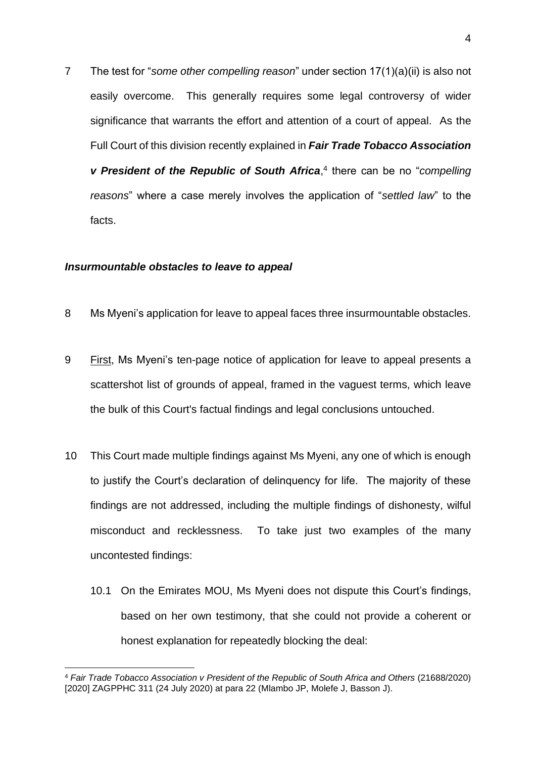7 The test for "*some other compelling reason*" under section 17(1)(a)(ii) is also not easily overcome. This generally requires some legal controversy of wider significance that warrants the effort and attention of a court of appeal. As the Full Court of this division recently explained in *Fair Trade Tobacco Association v* President of the Republic of South Africa,<sup>4</sup> there can be no "compelling *reasons*" where a case merely involves the application of "*settled law*" to the facts.

#### <span id="page-4-0"></span>*Insurmountable obstacles to leave to appeal*

- 8 Ms Myeni's application for leave to appeal faces three insurmountable obstacles.
- 9 First, Ms Myeni's ten-page notice of application for leave to appeal presents a scattershot list of grounds of appeal, framed in the vaguest terms, which leave the bulk of this Court's factual findings and legal conclusions untouched.
- 10 This Court made multiple findings against Ms Myeni, any one of which is enough to justify the Court's declaration of delinquency for life. The majority of these findings are not addressed, including the multiple findings of dishonesty, wilful misconduct and recklessness. To take just two examples of the many uncontested findings:
	- 10.1 On the Emirates MOU, Ms Myeni does not dispute this Court's findings, based on her own testimony, that she could not provide a coherent or honest explanation for repeatedly blocking the deal:

<sup>4</sup> *Fair Trade Tobacco Association v President of the Republic of South Africa and Others* (21688/2020) [2020] ZAGPPHC 311 (24 July 2020) at para 22 (Mlambo JP, Molefe J, Basson J).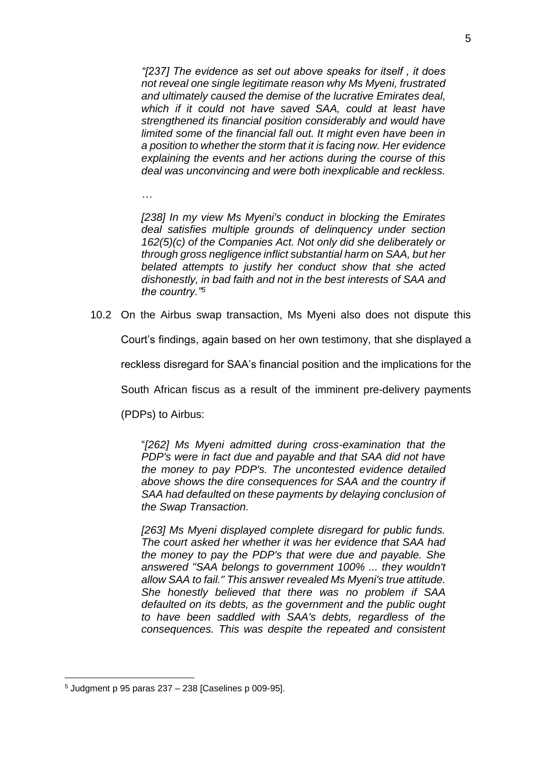*"[237] The evidence as set out above speaks for itself , it does not reveal one single legitimate reason why Ms Myeni, frustrated and ultimately caused the demise of the lucrative Emirates deal, which if it could not have saved SAA, could at least have strengthened its financial position considerably and would have limited some of the financial fall out. It might even have been in a position to whether the storm that it is facing now. Her evidence explaining the events and her actions during the course of this deal was unconvincing and were both inexplicable and reckless.* 

*…*

*[238] In my view Ms Myeni's conduct in blocking the Emirates deal satisfies multiple grounds of delinquency under section 162(5)(c) of the Companies Act. Not only did she deliberately or through gross negligence inflict substantial harm on SAA, but her belated attempts to justify her conduct show that she acted dishonestly, in bad faith and not in the best interests of SAA and the country."<sup>5</sup>*

10.2 On the Airbus swap transaction, Ms Myeni also does not dispute this

Court's findings, again based on her own testimony, that she displayed a

reckless disregard for SAA's financial position and the implications for the

South African fiscus as a result of the imminent pre-delivery payments

(PDPs) to Airbus:

"*[262] Ms Myeni admitted during cross-examination that the PDP's were in fact due and payable and that SAA did not have the money to pay PDP's. The uncontested evidence detailed above shows the dire consequences for SAA and the country if SAA had defaulted on these payments by delaying conclusion of the Swap Transaction.*

*[263] Ms Myeni displayed complete disregard for public funds. The court asked her whether it was her evidence that SAA had the money to pay the PDP's that were due and payable. She answered "SAA belongs to government 100% ... they wouldn't allow SAA to fail." This answer revealed Ms Myeni's true attitude. She honestly believed that there was no problem if SAA defaulted on its debts, as the government and the public ought to have been saddled with SAA's debts, regardless of the consequences. This was despite the repeated and consistent* 

 $5$  Judgment p 95 paras 237 – 238 [Caselines p 009-95].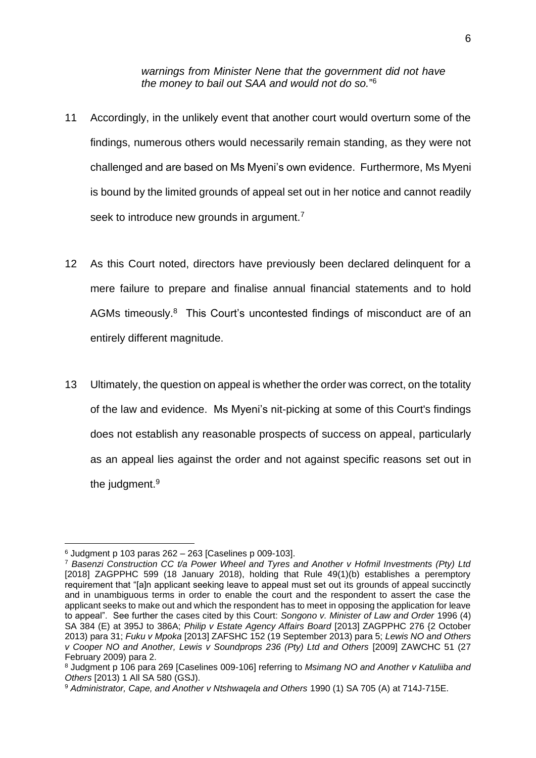*warnings from Minister Nene that the government did not have the money to bail out SAA and would not do so.*" 6

- 11 Accordingly, in the unlikely event that another court would overturn some of the findings, numerous others would necessarily remain standing, as they were not challenged and are based on Ms Myeni's own evidence. Furthermore, Ms Myeni is bound by the limited grounds of appeal set out in her notice and cannot readily seek to introduce new grounds in argument.<sup>7</sup>
- 12 As this Court noted, directors have previously been declared delinquent for a mere failure to prepare and finalise annual financial statements and to hold AGMs timeously.<sup>8</sup> This Court's uncontested findings of misconduct are of an entirely different magnitude.
- 13 Ultimately, the question on appeal is whether the order was correct, on the totality of the law and evidence. Ms Myeni's nit-picking at some of this Court's findings does not establish any reasonable prospects of success on appeal, particularly as an appeal lies against the order and not against specific reasons set out in the judgment.<sup>9</sup>

 $6$  Judgment p 103 paras 262 – 263 [Caselines p 009-103].

<sup>7</sup> *Basenzi Construction CC t/a Power Wheel and Tyres and Another v Hofmil Investments (Pty) Ltd*  [2018] ZAGPPHC 599 (18 January 2018), holding that Rule 49(1)(b) establishes a peremptory requirement that "[a]n applicant seeking leave to appeal must set out its grounds of appeal succinctly and in unambiguous terms in order to enable the court and the respondent to assert the case the applicant seeks to make out and which the respondent has to meet in opposing the application for leave to appeal". See further the cases cited by this Court: *Songono v. Minister of Law and Order* 1996 (4) SA 384 (E) at 395J to 386A; *Philip v Estate Agency Affairs Board* [2013] ZAGPPHC 276 {2 October 2013) para 31; *Fuku v Mpoka* [2013] ZAFSHC 152 (19 September 2013) para 5; *Lewis NO and Others v Cooper NO and Another, Lewis v Soundprops 236 (Pty) Ltd and Others* [2009] ZAWCHC 51 (27 February 2009) para 2.

<sup>8</sup> Judgment p 106 para 269 [Caselines 009-106] referring to *Msimang NO and Another v Katuliiba and Others* [2013) 1 All SA 580 (GSJ).

<sup>9</sup> *Administrator, Cape, and Another v Ntshwaqela and Others* 1990 (1) SA 705 (A) at 714J-715E.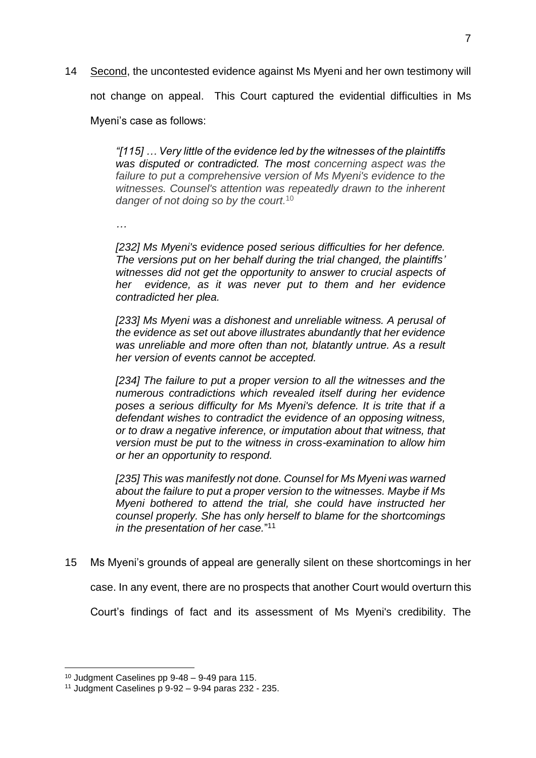14 Second, the uncontested evidence against Ms Myeni and her own testimony will not change on appeal. This Court captured the evidential difficulties in Ms Myeni's case as follows:

> *"[115] … Very little of the evidence led by the witnesses of the plaintiffs was disputed or contradicted. The most concerning aspect was the failure to put a comprehensive version of Ms Myeni's evidence to the witnesses. Counsel's attention was repeatedly drawn to the inherent danger of not doing so by the court.* 10

*…*

*[232] Ms Myeni's evidence posed serious difficulties for her defence. The versions put on her behalf during the trial changed, the plaintiffs' witnesses did not get the opportunity to answer to crucial aspects of her evidence, as it was never put to them and her evidence contradicted her plea.*

*[233] Ms Myeni was a dishonest and unreliable witness. A perusal of the evidence as set out above illustrates abundantly that her evidence was unreliable and more often than not, blatantly untrue. As a result her version of events cannot be accepted.*

*[234] The failure to put a proper version to all the witnesses and the numerous contradictions which revealed itself during her evidence poses a serious difficulty for Ms Myeni's defence. It is trite that if a defendant wishes to contradict the evidence of an opposing witness, or to draw a negative inference, or imputation about that witness, that version must be put to the witness in cross-examination to allow him or her an opportunity to respond.* 

*[235] This was manifestly not done. Counsel for Ms Myeni was warned about the failure to put a proper version to the witnesses. Maybe if Ms Myeni bothered to attend the trial, she could have instructed her counsel properly. She has only herself to blame for the shortcomings in the presentation of her case.*" 11

15 Ms Myeni's grounds of appeal are generally silent on these shortcomings in her

case. In any event, there are no prospects that another Court would overturn this

Court's findings of fact and its assessment of Ms Myeni's credibility. The

<sup>10</sup> Judgment Caselines pp 9-48 – 9-49 para 115.

 $11$  Judgment Caselines p  $9-92 - 9-94$  paras 232 - 235.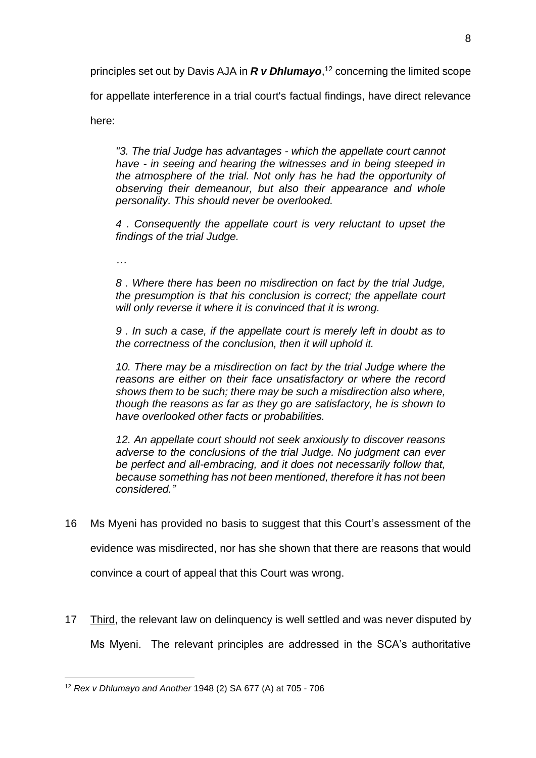principles set out by Davis AJA in *R v Dhlumayo*, <sup>12</sup> concerning the limited scope

for appellate interference in a trial court's factual findings, have direct relevance

here:

*"3. The trial Judge has advantages - which the appellate court cannot have - in seeing and hearing the witnesses and in being steeped in the atmosphere of the trial. Not only has he had the opportunity of observing their demeanour, but also their appearance and whole personality. This should never be overlooked.*

*4 . Consequently the appellate court is very reluctant to upset the findings of the trial Judge.*

*…* 

*8 . Where there has been no misdirection on fact by the trial Judge, the presumption is that his conclusion is correct; the appellate court will only reverse it where it is convinced that it is wrong.*

*9 . In such a case, if the appellate court is merely left in doubt as to the correctness of the conclusion, then it will uphold it.*

*10. There may be a misdirection on fact by the trial Judge where the reasons are either on their face unsatisfactory or where the record shows them to be such; there may be such a misdirection also where, though the reasons as far as they go are satisfactory, he is shown to have overlooked other facts or probabilities.*

*12. An appellate court should not seek anxiously to discover reasons adverse to the conclusions of the trial Judge. No judgment can ever be perfect and all-embracing, and it does not necessarily follow that, because something has not been mentioned, therefore it has not been considered."* 

16 Ms Myeni has provided no basis to suggest that this Court's assessment of the evidence was misdirected, nor has she shown that there are reasons that would

convince a court of appeal that this Court was wrong.

17 Third, the relevant law on delinguency is well settled and was never disputed by Ms Myeni. The relevant principles are addressed in the SCA's authoritative

<sup>12</sup> *Rex v Dhlumayo and Another* 1948 (2) SA 677 (A) at 705 - 706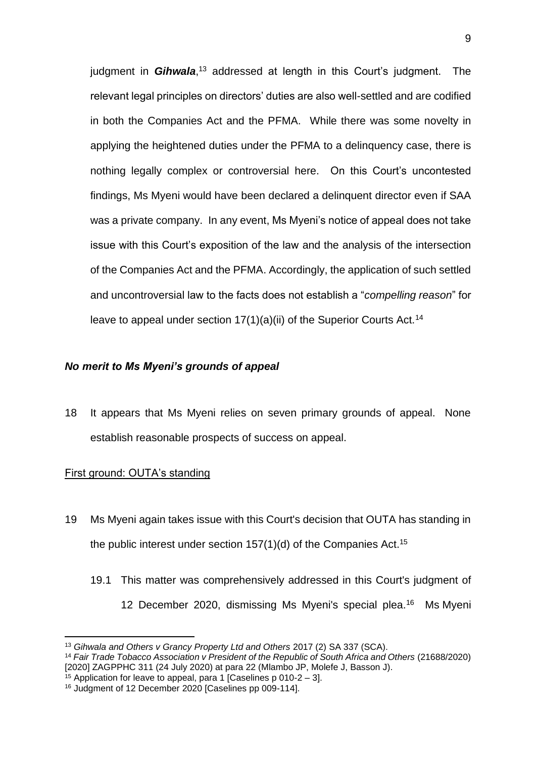judgment in *Gihwala*,<sup>13</sup> addressed at length in this Court's judgment. The relevant legal principles on directors' duties are also well-settled and are codified in both the Companies Act and the PFMA. While there was some novelty in applying the heightened duties under the PFMA to a delinquency case, there is nothing legally complex or controversial here. On this Court's uncontested findings, Ms Myeni would have been declared a delinquent director even if SAA was a private company. In any event, Ms Myeni's notice of appeal does not take issue with this Court's exposition of the law and the analysis of the intersection of the Companies Act and the PFMA. Accordingly, the application of such settled and uncontroversial law to the facts does not establish a "*compelling reason*" for leave to appeal under section  $17(1)(a)(ii)$  of the Superior Courts Act.<sup>14</sup>

## <span id="page-9-0"></span>*No merit to Ms Myeni's grounds of appeal*

18 It appears that Ms Myeni relies on seven primary grounds of appeal. None establish reasonable prospects of success on appeal.

## First ground: OUTA's standing

- 19 Ms Myeni again takes issue with this Court's decision that OUTA has standing in the public interest under section  $157(1)(d)$  of the Companies Act.<sup>15</sup>
	- 19.1 This matter was comprehensively addressed in this Court's judgment of 12 December 2020, dismissing Ms Myeni's special plea.<sup>16</sup> Ms Myeni

<sup>13</sup> *Gihwala and Others v Grancy Property Ltd and Others* 2017 (2) SA 337 (SCA).

<sup>14</sup> *Fair Trade Tobacco Association v President of the Republic of South Africa and Others* (21688/2020) [2020] ZAGPPHC 311 (24 July 2020) at para 22 (Mlambo JP, Molefe J, Basson J).

 $15$  Application for leave to appeal, para 1 [Caselines p 010-2 – 3].

<sup>16</sup> Judgment of 12 December 2020 [Caselines pp 009-114].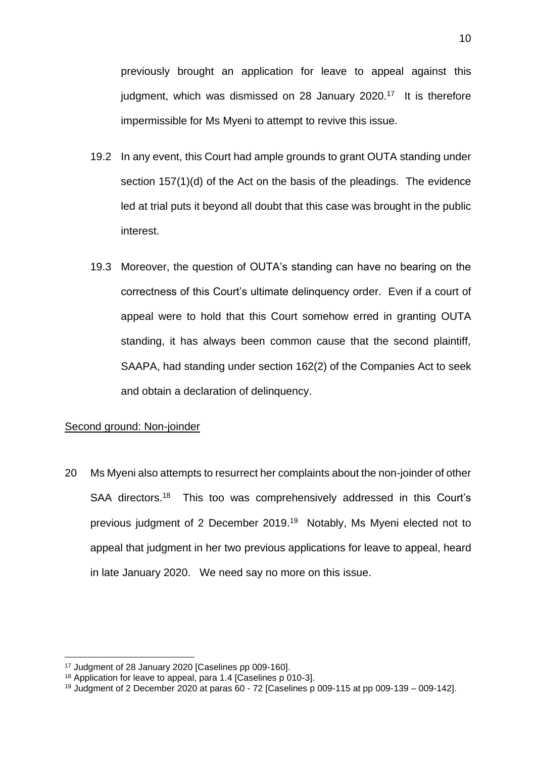previously brought an application for leave to appeal against this judgment, which was dismissed on 28 January 2020.<sup>17</sup> It is therefore impermissible for Ms Myeni to attempt to revive this issue.

- 19.2 In any event, this Court had ample grounds to grant OUTA standing under section 157(1)(d) of the Act on the basis of the pleadings. The evidence led at trial puts it beyond all doubt that this case was brought in the public interest.
- 19.3 Moreover, the question of OUTA's standing can have no bearing on the correctness of this Court's ultimate delinquency order. Even if a court of appeal were to hold that this Court somehow erred in granting OUTA standing, it has always been common cause that the second plaintiff, SAAPA, had standing under section 162(2) of the Companies Act to seek and obtain a declaration of delinquency.

## Second ground: Non-joinder

20 Ms Myeni also attempts to resurrect her complaints about the non-joinder of other SAA directors.<sup>18</sup> This too was comprehensively addressed in this Court's previous judgment of 2 December 2019. <sup>19</sup> Notably, Ms Myeni elected not to appeal that judgment in her two previous applications for leave to appeal, heard in late January 2020. We need say no more on this issue.

<sup>17</sup> Judgment of 28 January 2020 [Caselines pp 009-160].

<sup>18</sup> Application for leave to appeal, para 1.4 [Caselines p 010-3].

<sup>19</sup> Judgment of 2 December 2020 at paras 60 - 72 [Caselines p 009-115 at pp 009-139 – 009-142].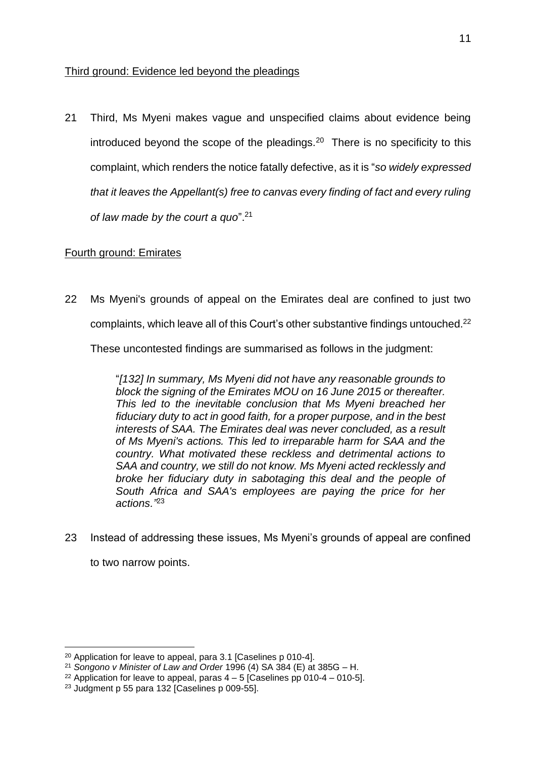## Third ground: Evidence led beyond the pleadings

21 Third, Ms Myeni makes vague and unspecified claims about evidence being introduced beyond the scope of the pleadings.<sup>20</sup> There is no specificity to this complaint, which renders the notice fatally defective, as it is "*so widely expressed that it leaves the Appellant(s) free to canvas every finding of fact and every ruling of law made by the court a quo*".<sup>21</sup>

## Fourth ground: Emirates

22 Ms Myeni's grounds of appeal on the Emirates deal are confined to just two complaints, which leave all of this Court's other substantive findings untouched. 22

These uncontested findings are summarised as follows in the judgment:

"*[132] In summary, Ms Myeni did not have any reasonable grounds to block the signing of the Emirates MOU on 16 June 2015 or thereafter. This led to the inevitable conclusion that Ms Myeni breached her fiduciary duty to act in good faith, for a proper purpose, and in the best interests of SAA. The Emirates deal was never concluded, as a result of Ms Myeni's actions. This led to irreparable harm for SAA and the country. What motivated these reckless and detrimental actions to SAA and country, we still do not know. Ms Myeni acted recklessly and broke her fiduciary duty in sabotaging this deal and the people of South Africa and SAA's employees are paying the price for her actions."*<sup>23</sup>

23 Instead of addressing these issues, Ms Myeni's grounds of appeal are confined

to two narrow points.

<sup>20</sup> Application for leave to appeal, para 3.1 [Caselines p 010-4].

<sup>21</sup> *Songono v Minister of Law and Order* 1996 (4) SA 384 (E) at 385G – H.

<sup>&</sup>lt;sup>22</sup> Application for leave to appeal, paras  $4 - 5$  [Caselines pp 010-4 – 010-5].

<sup>23</sup> Judgment p 55 para 132 [Caselines p 009-55].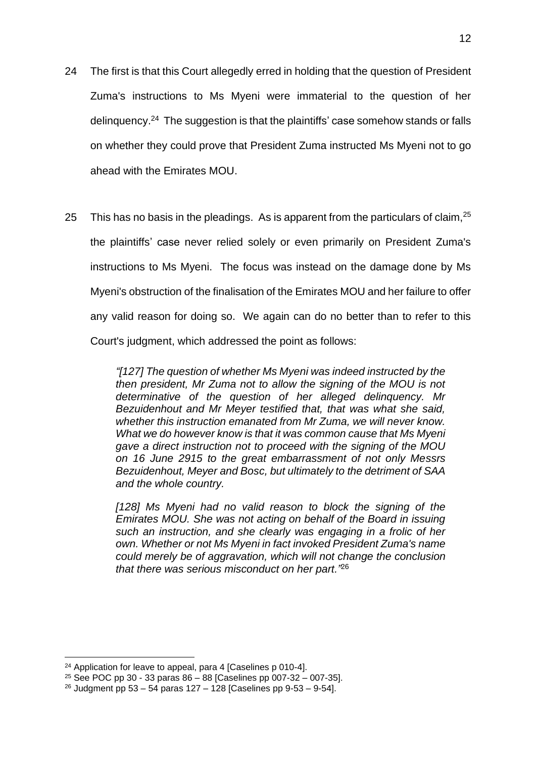- 24 The first is that this Court allegedly erred in holding that the question of President Zuma's instructions to Ms Myeni were immaterial to the question of her delinquency.<sup>24</sup> The suggestion is that the plaintiffs' case somehow stands or falls on whether they could prove that President Zuma instructed Ms Myeni not to go ahead with the Emirates MOU.
- 25 This has no basis in the pleadings. As is apparent from the particulars of claim,  $25$ the plaintiffs' case never relied solely or even primarily on President Zuma's instructions to Ms Myeni. The focus was instead on the damage done by Ms Myeni's obstruction of the finalisation of the Emirates MOU and her failure to offer any valid reason for doing so. We again can do no better than to refer to this Court's judgment, which addressed the point as follows:

*"[127] The question of whether Ms Myeni was indeed instructed by the then president, Mr Zuma not to allow the signing of the MOU is not determinative of the question of her alleged delinquency. Mr Bezuidenhout and Mr Meyer testified that, that was what she said, whether this instruction emanated from Mr Zuma, we will never know. What we do however know is that it was common cause that Ms Myeni gave a direct instruction not to proceed with the signing of the MOU on 16 June 2915 to the great embarrassment of not only Messrs Bezuidenhout, Meyer and Bosc, but ultimately to the detriment of SAA and the whole country.*

*[128] Ms Myeni had no valid reason to block the signing of the Emirates MOU. She was not acting on behalf of the Board in issuing such an instruction, and she clearly was engaging in a frolic of her own. Whether or not Ms Myeni in fact invoked President Zuma's name could merely be of aggravation, which will not change the conclusion that there was serious misconduct on her part."*<sup>26</sup>

<sup>24</sup> Application for leave to appeal, para 4 [Caselines p 010-4].

<sup>25</sup> See POC pp 30 - 33 paras 86 – 88 [Caselines pp 007-32 – 007-35].

 $26$  Judgment pp 53 – 54 paras 127 – 128 [Caselines pp 9-53 – 9-54].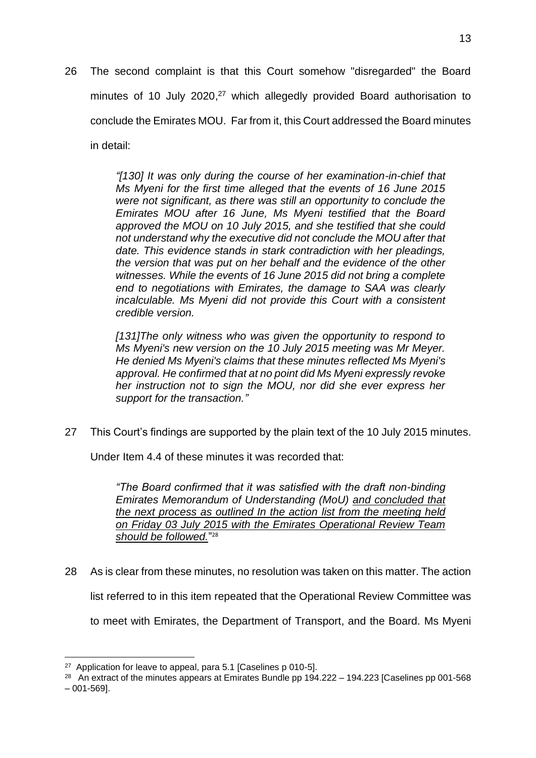26 The second complaint is that this Court somehow "disregarded" the Board minutes of 10 July 2020,<sup>27</sup> which allegedly provided Board authorisation to conclude the Emirates MOU. Far from it, this Court addressed the Board minutes in detail:

> *"[130] It was only during the course of her examination-in-chief that Ms Myeni for the first time alleged that the events of 16 June 2015 were not significant, as there was still an opportunity to conclude the Emirates MOU after 16 June, Ms Myeni testified that the Board approved the MOU on 10 July 2015, and she testified that she could not understand why the executive did not conclude the MOU after that date. This evidence stands in stark contradiction with her pleadings, the version that was put on her behalf and the evidence of the other witnesses. While the events of 16 June 2015 did not bring a complete end to negotiations with Emirates, the damage to SAA was clearly incalculable. Ms Myeni did not provide this Court with a consistent credible version.*

> *[131]The only witness who was given the opportunity to respond to Ms Myeni's new version on the 10 July 2015 meeting was Mr Meyer. He denied Ms Myeni's claims that these minutes reflected Ms Myeni's approval. He confirmed that at no point did Ms Myeni expressly revoke her instruction not to sign the MOU, nor did she ever express her support for the transaction."*

27 This Court's findings are supported by the plain text of the 10 July 2015 minutes.

Under Item 4.4 of these minutes it was recorded that:

*"The Board confirmed that it was satisfied with the draft non-binding Emirates Memorandum of Understanding (MoU) and concluded that the next process as outlined In the action list from the meeting held on Friday 03 July 2015 with the Emirates Operational Review Team should be followed.*" 28

28 As is clear from these minutes, no resolution was taken on this matter. The action list referred to in this item repeated that the Operational Review Committee was to meet with Emirates, the Department of Transport, and the Board. Ms Myeni

<sup>&</sup>lt;sup>27</sup> Application for leave to appeal, para 5.1 [Caselines p 010-5].

<sup>&</sup>lt;sup>28</sup> An extract of the minutes appears at Emirates Bundle pp  $194.222 - 194.223$  [Caselines pp 001-568  $-001 - 569$ ].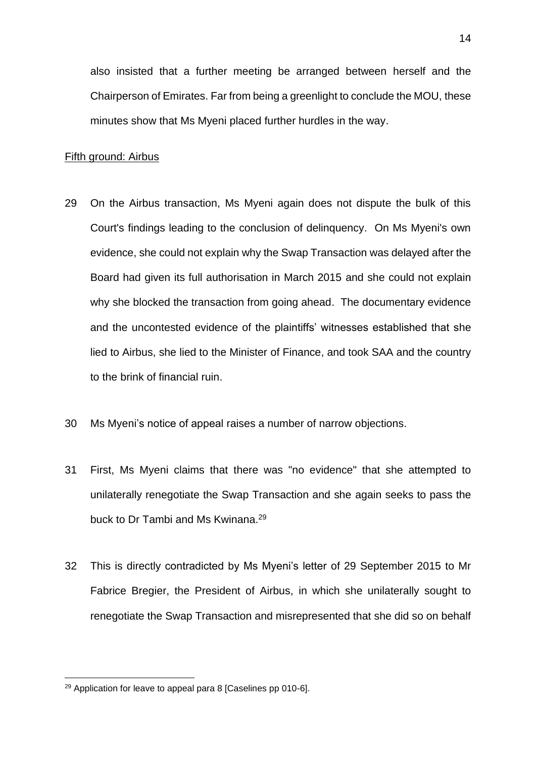also insisted that a further meeting be arranged between herself and the Chairperson of Emirates. Far from being a greenlight to conclude the MOU, these minutes show that Ms Myeni placed further hurdles in the way.

#### Fifth ground: Airbus

- 29 On the Airbus transaction, Ms Myeni again does not dispute the bulk of this Court's findings leading to the conclusion of delinquency. On Ms Myeni's own evidence, she could not explain why the Swap Transaction was delayed after the Board had given its full authorisation in March 2015 and she could not explain why she blocked the transaction from going ahead. The documentary evidence and the uncontested evidence of the plaintiffs' witnesses established that she lied to Airbus, she lied to the Minister of Finance, and took SAA and the country to the brink of financial ruin.
- 30 Ms Myeni's notice of appeal raises a number of narrow objections.
- 31 First, Ms Myeni claims that there was "no evidence" that she attempted to unilaterally renegotiate the Swap Transaction and she again seeks to pass the buck to Dr Tambi and Ms Kwinana.<sup>29</sup>
- 32 This is directly contradicted by Ms Myeni's letter of 29 September 2015 to Mr Fabrice Bregier, the President of Airbus, in which she unilaterally sought to renegotiate the Swap Transaction and misrepresented that she did so on behalf

<sup>29</sup> Application for leave to appeal para 8 [Caselines pp 010-6].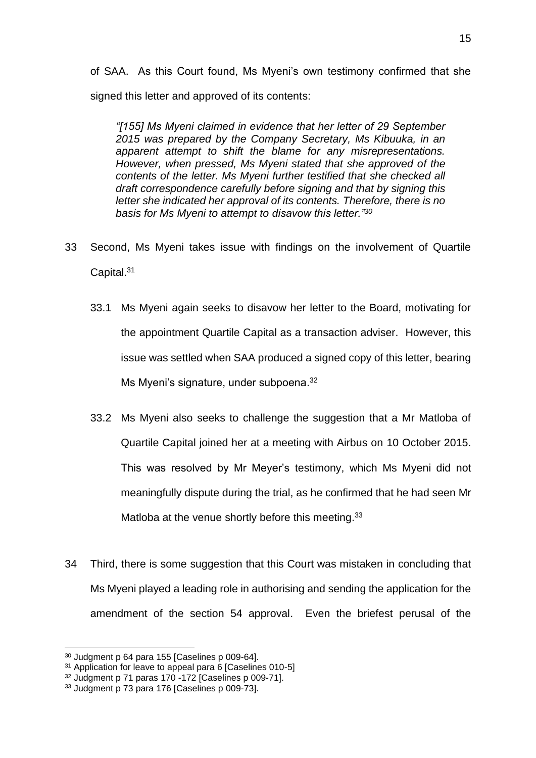of SAA. As this Court found, Ms Myeni's own testimony confirmed that she signed this letter and approved of its contents:

*"[155] Ms Myeni claimed in evidence that her letter of 29 September 2015 was prepared by the Company Secretary, Ms Kibuuka, in an apparent attempt to shift the blame for any misrepresentations. However, when pressed, Ms Myeni stated that she approved of the contents of the letter. Ms Myeni further testified that she checked all draft correspondence carefully before signing and that by signing this letter she indicated her approval of its contents. Therefore, there is no basis for Ms Myeni to attempt to disavow this letter."<sup>30</sup>*

- 33 Second, Ms Myeni takes issue with findings on the involvement of Quartile Capital.<sup>31</sup>
	- 33.1 Ms Myeni again seeks to disavow her letter to the Board, motivating for the appointment Quartile Capital as a transaction adviser. However, this issue was settled when SAA produced a signed copy of this letter, bearing Ms Myeni's signature, under subpoena.<sup>32</sup>
	- 33.2 Ms Myeni also seeks to challenge the suggestion that a Mr Matloba of Quartile Capital joined her at a meeting with Airbus on 10 October 2015. This was resolved by Mr Meyer's testimony, which Ms Myeni did not meaningfully dispute during the trial, as he confirmed that he had seen Mr Matloba at the venue shortly before this meeting.<sup>33</sup>
- 34 Third, there is some suggestion that this Court was mistaken in concluding that Ms Myeni played a leading role in authorising and sending the application for the amendment of the section 54 approval. Even the briefest perusal of the

<sup>30</sup> Judgment p 64 para 155 [Caselines p 009-64].

<sup>&</sup>lt;sup>31</sup> Application for leave to appeal para 6 [Caselines 010-5]

<sup>32</sup> Judgment p 71 paras 170 -172 [Caselines p 009-71].

<sup>33</sup> Judgment p 73 para 176 [Caselines p 009-73].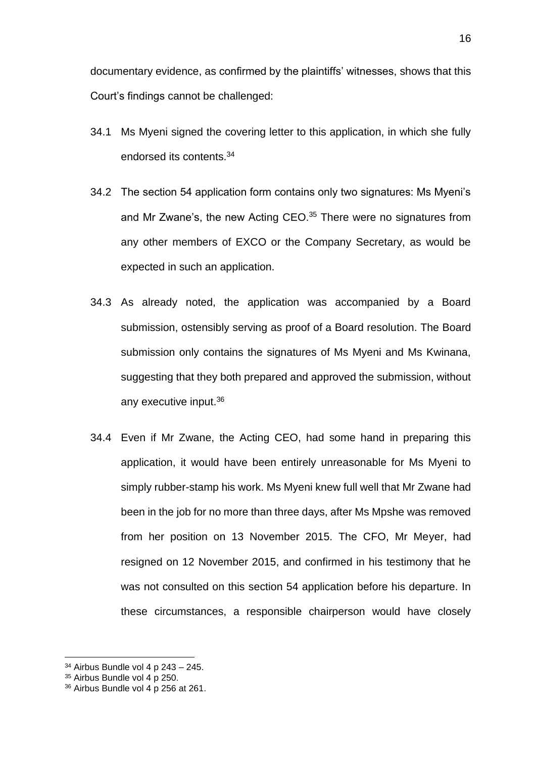documentary evidence, as confirmed by the plaintiffs' witnesses, shows that this Court's findings cannot be challenged:

- 34.1 Ms Myeni signed the covering letter to this application, in which she fully endorsed its contents.<sup>34</sup>
- 34.2 The section 54 application form contains only two signatures: Ms Myeni's and Mr Zwane's, the new Acting CEO.<sup>35</sup> There were no signatures from any other members of EXCO or the Company Secretary, as would be expected in such an application.
- 34.3 As already noted, the application was accompanied by a Board submission, ostensibly serving as proof of a Board resolution. The Board submission only contains the signatures of Ms Myeni and Ms Kwinana, suggesting that they both prepared and approved the submission, without any executive input.<sup>36</sup>
- 34.4 Even if Mr Zwane, the Acting CEO, had some hand in preparing this application, it would have been entirely unreasonable for Ms Myeni to simply rubber-stamp his work. Ms Myeni knew full well that Mr Zwane had been in the job for no more than three days, after Ms Mpshe was removed from her position on 13 November 2015. The CFO, Mr Meyer, had resigned on 12 November 2015, and confirmed in his testimony that he was not consulted on this section 54 application before his departure. In these circumstances, a responsible chairperson would have closely

 $34$  Airbus Bundle vol 4 p  $243 - 245$ .

 $35$  Airbus Bundle vol 4 p 250.

 $36$  Airbus Bundle vol 4 p 256 at 261.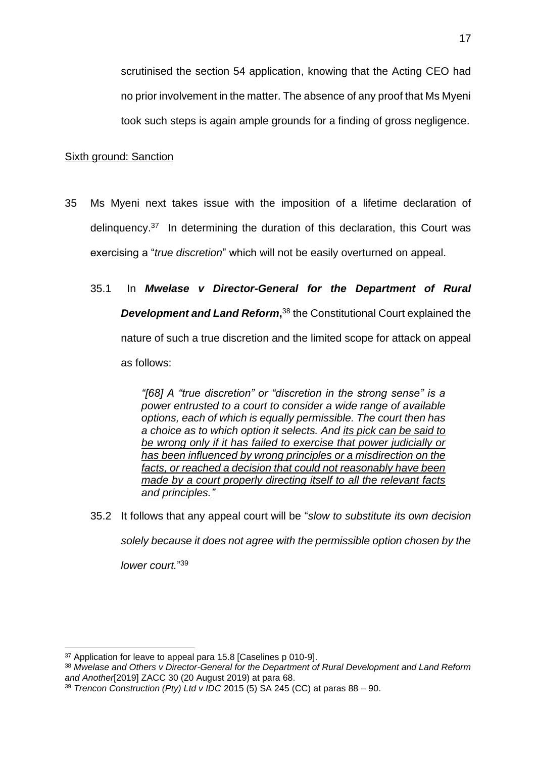scrutinised the section 54 application, knowing that the Acting CEO had no prior involvement in the matter. The absence of any proof that Ms Myeni took such steps is again ample grounds for a finding of gross negligence.

## Sixth ground: Sanction

- 35 Ms Myeni next takes issue with the imposition of a lifetime declaration of delinquency.<sup>37</sup> In determining the duration of this declaration, this Court was exercising a "*true discretion*" which will not be easily overturned on appeal.
	- 35.1 In *Mwelase v Director-General for the Department of Rural*  **Development and Land Reform,**<sup>38</sup> the Constitutional Court explained the nature of such a true discretion and the limited scope for attack on appeal as follows:

*"[68] A "true discretion" or "discretion in the strong sense" is a power entrusted to a court to consider a wide range of available options, each of which is equally permissible. The court then has a choice as to which option it selects. And its pick can be said to be wrong only if it has failed to exercise that power judicially or has been influenced by wrong principles or a misdirection on the facts, or reached a decision that could not reasonably have been made by a court properly directing itself to all the relevant facts and principles."*

35.2 It follows that any appeal court will be "*slow to substitute its own decision* 

*solely because it does not agree with the permissible option chosen by the* 

*lower court.*" 39

<sup>37</sup> Application for leave to appeal para 15.8 [Caselines p 010-9].

<sup>38</sup> *Mwelase and Others v Director-General for the Department of Rural Development and Land Reform and Another*[2019] ZACC 30 (20 August 2019) at para 68.

<sup>39</sup> *Trencon Construction (Pty) Ltd v IDC* 2015 (5) SA 245 (CC) at paras 88 – 90.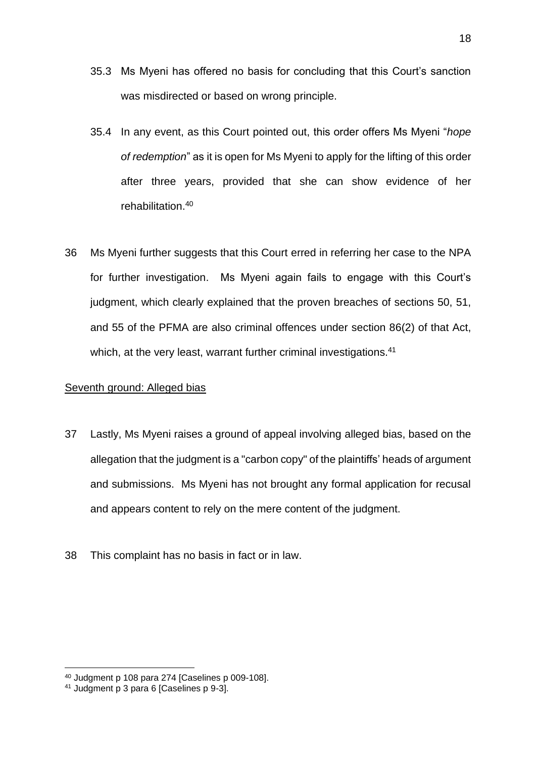- 35.3 Ms Myeni has offered no basis for concluding that this Court's sanction was misdirected or based on wrong principle.
- 35.4 In any event, as this Court pointed out, this order offers Ms Myeni "*hope of redemption*" as it is open for Ms Myeni to apply for the lifting of this order after three years, provided that she can show evidence of her rehabilitation.<sup>40</sup>
- 36 Ms Myeni further suggests that this Court erred in referring her case to the NPA for further investigation. Ms Myeni again fails to engage with this Court's judgment, which clearly explained that the proven breaches of sections 50, 51, and 55 of the PFMA are also criminal offences under section 86(2) of that Act, which, at the very least, warrant further criminal investigations.<sup>41</sup>

## Seventh ground: Alleged bias

- 37 Lastly, Ms Myeni raises a ground of appeal involving alleged bias, based on the allegation that the judgment is a "carbon copy" of the plaintiffs' heads of argument and submissions. Ms Myeni has not brought any formal application for recusal and appears content to rely on the mere content of the judgment.
- 38 This complaint has no basis in fact or in law.

<sup>40</sup> Judgment p 108 para 274 [Caselines p 009-108].

<sup>&</sup>lt;sup>41</sup> Judgment p 3 para 6 [Caselines p 9-3].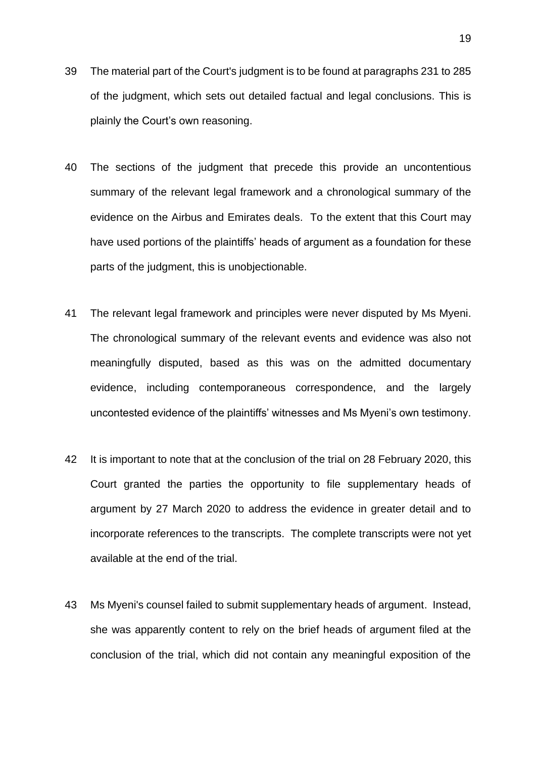- 39 The material part of the Court's judgment is to be found at paragraphs 231 to 285 of the judgment, which sets out detailed factual and legal conclusions. This is plainly the Court's own reasoning.
- 40 The sections of the judgment that precede this provide an uncontentious summary of the relevant legal framework and a chronological summary of the evidence on the Airbus and Emirates deals. To the extent that this Court may have used portions of the plaintiffs' heads of argument as a foundation for these parts of the judgment, this is unobjectionable.
- 41 The relevant legal framework and principles were never disputed by Ms Myeni. The chronological summary of the relevant events and evidence was also not meaningfully disputed, based as this was on the admitted documentary evidence, including contemporaneous correspondence, and the largely uncontested evidence of the plaintiffs' witnesses and Ms Myeni's own testimony.
- 42 It is important to note that at the conclusion of the trial on 28 February 2020, this Court granted the parties the opportunity to file supplementary heads of argument by 27 March 2020 to address the evidence in greater detail and to incorporate references to the transcripts. The complete transcripts were not yet available at the end of the trial.
- 43 Ms Myeni's counsel failed to submit supplementary heads of argument. Instead, she was apparently content to rely on the brief heads of argument filed at the conclusion of the trial, which did not contain any meaningful exposition of the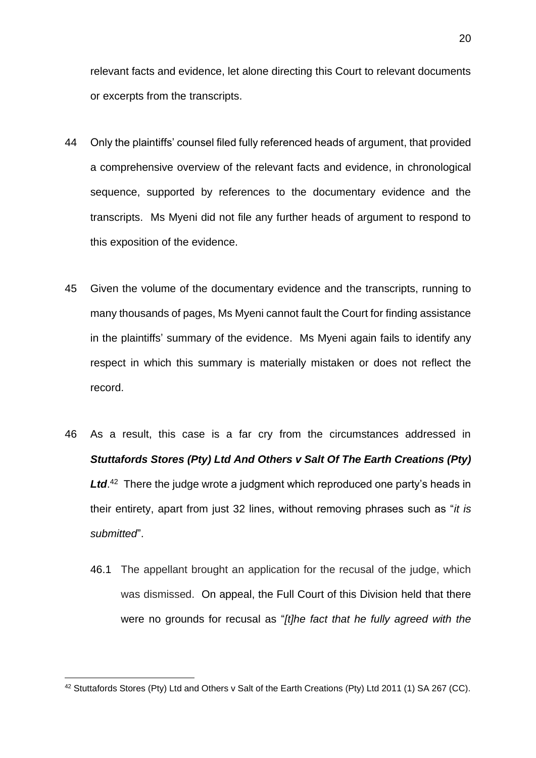relevant facts and evidence, let alone directing this Court to relevant documents or excerpts from the transcripts.

- 44 Only the plaintiffs' counsel filed fully referenced heads of argument, that provided a comprehensive overview of the relevant facts and evidence, in chronological sequence, supported by references to the documentary evidence and the transcripts. Ms Myeni did not file any further heads of argument to respond to this exposition of the evidence.
- 45 Given the volume of the documentary evidence and the transcripts, running to many thousands of pages, Ms Myeni cannot fault the Court for finding assistance in the plaintiffs' summary of the evidence. Ms Myeni again fails to identify any respect in which this summary is materially mistaken or does not reflect the record.
- 46 As a result, this case is a far cry from the circumstances addressed in *Stuttafords Stores (Pty) Ltd And Others v Salt Of The Earth Creations (Pty)*  Ltd.<sup>42</sup> There the judge wrote a judgment which reproduced one party's heads in their entirety, apart from just 32 lines, without removing phrases such as "*it is submitted*".
	- 46.1 The appellant brought an application for the recusal of the judge, which was dismissed. On appeal, the Full Court of this Division held that there were no grounds for recusal as "*[t]he fact that he fully agreed with the*

<sup>42</sup> Stuttafords Stores (Pty) Ltd and Others v Salt of the Earth Creations (Pty) Ltd 2011 (1) SA 267 (CC).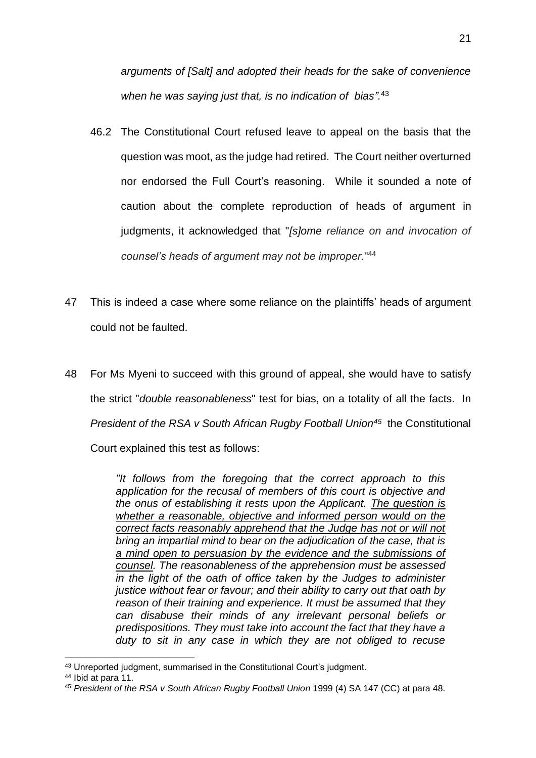*arguments of [Salt] and adopted their heads for the sake of convenience when he was saying just that, is no indication of bias".* 43

- 46.2 The Constitutional Court refused leave to appeal on the basis that the question was moot, as the judge had retired. The Court neither overturned nor endorsed the Full Court's reasoning. While it sounded a note of caution about the complete reproduction of heads of argument in judgments, it acknowledged that "*[s]ome reliance on and invocation of counsel's heads of argument may not be improper.*" 44
- 47 This is indeed a case where some reliance on the plaintiffs' heads of argument could not be faulted.
- 48 For Ms Myeni to succeed with this ground of appeal, she would have to satisfy the strict "*double reasonableness*" test for bias, on a totality of all the facts. In *President of the RSA v South African Rugby Football Union<sup>45</sup> the Constitutional* Court explained this test as follows:

*"It follows from the foregoing that the correct approach to this application for the recusal of members of this court is objective and the onus of establishing it rests upon the Applicant. The question is whether a reasonable, objective and informed person would on the correct facts reasonably apprehend that the Judge has not or will not bring an impartial mind to bear on the adjudication of the case, that is a mind open to persuasion by the evidence and the submissions of counsel. The reasonableness of the apprehension must be assessed in the light of the oath of office taken by the Judges to administer justice without fear or favour; and their ability to carry out that oath by reason of their training and experience. It must be assumed that they can disabuse their minds of any irrelevant personal beliefs or predispositions. They must take into account the fact that they have a duty to sit in any case in which they are not obliged to recuse* 

<sup>43</sup> Unreported judgment, summarised in the Constitutional Court's judgment.

<sup>44</sup> Ibid at para 11.

<sup>45</sup> *President of the RSA v South African Rugby Football Union* 1999 (4) SA 147 (CC) at para 48.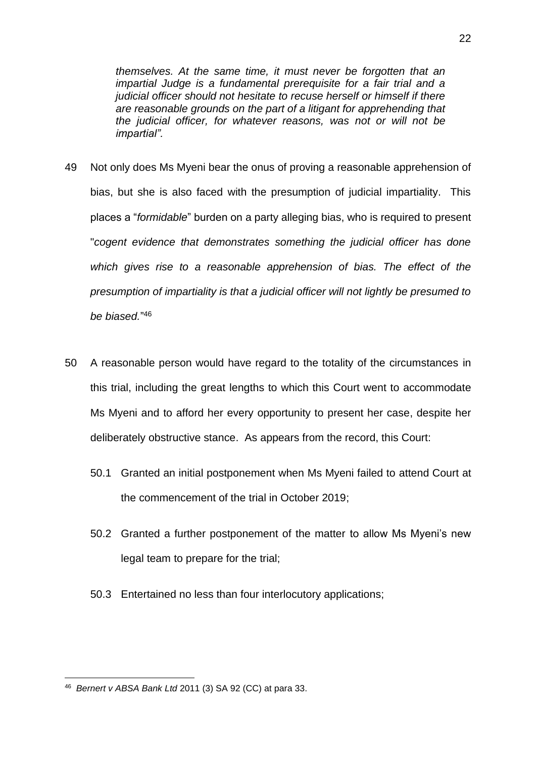*themselves. At the same time, it must never be forgotten that an impartial Judge is a fundamental prerequisite for a fair trial and a judicial officer should not hesitate to recuse herself or himself if there are reasonable grounds on the part of a litigant for apprehending that the judicial officer, for whatever reasons, was not or will not be impartial".*

- 49 Not only does Ms Myeni bear the onus of proving a reasonable apprehension of bias, but she is also faced with the presumption of judicial impartiality. This places a "*formidable*" burden on a party alleging bias, who is required to present "*cogent evidence that demonstrates something the judicial officer has done which gives rise to a reasonable apprehension of bias. The effect of the presumption of impartiality is that a judicial officer will not lightly be presumed to be biased.*" 46
- 50 A reasonable person would have regard to the totality of the circumstances in this trial, including the great lengths to which this Court went to accommodate Ms Myeni and to afford her every opportunity to present her case, despite her deliberately obstructive stance. As appears from the record, this Court:
	- 50.1 Granted an initial postponement when Ms Myeni failed to attend Court at the commencement of the trial in October 2019;
	- 50.2 Granted a further postponement of the matter to allow Ms Myeni's new legal team to prepare for the trial;
	- 50.3 Entertained no less than four interlocutory applications;

<sup>46</sup> *Bernert v ABSA Bank Ltd* 2011 (3) SA 92 (CC) at para 33.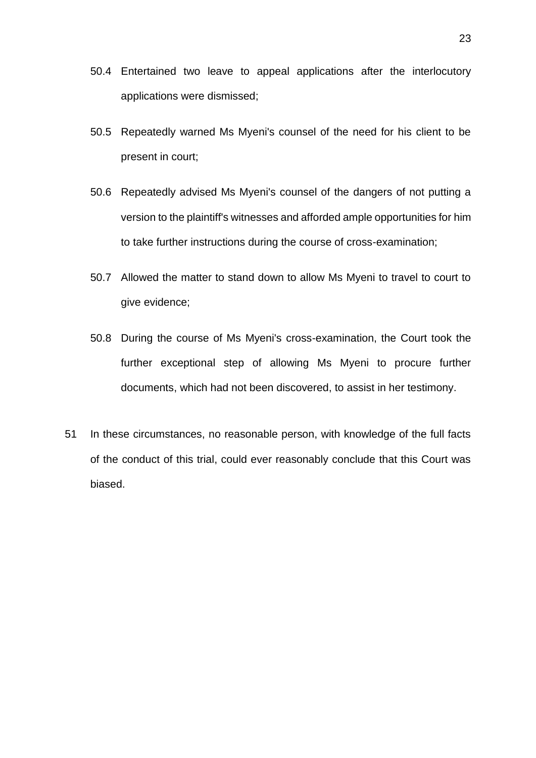- 50.4 Entertained two leave to appeal applications after the interlocutory applications were dismissed;
- 50.5 Repeatedly warned Ms Myeni's counsel of the need for his client to be present in court;
- 50.6 Repeatedly advised Ms Myeni's counsel of the dangers of not putting a version to the plaintiff's witnesses and afforded ample opportunities for him to take further instructions during the course of cross-examination;
- 50.7 Allowed the matter to stand down to allow Ms Myeni to travel to court to give evidence;
- 50.8 During the course of Ms Myeni's cross-examination, the Court took the further exceptional step of allowing Ms Myeni to procure further documents, which had not been discovered, to assist in her testimony.
- 51 In these circumstances, no reasonable person, with knowledge of the full facts of the conduct of this trial, could ever reasonably conclude that this Court was biased.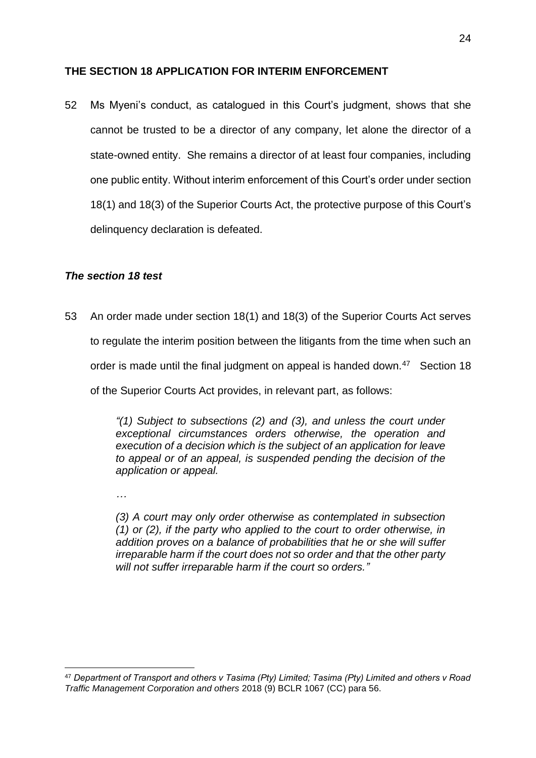## <span id="page-24-0"></span>**THE SECTION 18 APPLICATION FOR INTERIM ENFORCEMENT**

52 Ms Myeni's conduct, as catalogued in this Court's judgment, shows that she cannot be trusted to be a director of any company, let alone the director of a state-owned entity. She remains a director of at least four companies, including one public entity. Without interim enforcement of this Court's order under section 18(1) and 18(3) of the Superior Courts Act, the protective purpose of this Court's delinquency declaration is defeated.

## <span id="page-24-1"></span>*The section 18 test*

53 An order made under section 18(1) and 18(3) of the Superior Courts Act serves to regulate the interim position between the litigants from the time when such an order is made until the final judgment on appeal is handed down.<sup>47</sup> Section 18 of the Superior Courts Act provides, in relevant part, as follows:

> *"(1) Subject to subsections (2) and (3), and unless the court under exceptional circumstances orders otherwise, the operation and execution of a decision which is the subject of an application for leave to appeal or of an appeal, is suspended pending the decision of the application or appeal.*

*…*

*(3) A court may only order otherwise as contemplated in subsection (1) or (2), if the party who applied to the court to order otherwise, in addition proves on a balance of probabilities that he or she will suffer irreparable harm if the court does not so order and that the other party will not suffer irreparable harm if the court so orders."*

<sup>47</sup> *Department of Transport and others v Tasima (Pty) Limited; Tasima (Pty) Limited and others v Road Traffic Management Corporation and others* 2018 (9) BCLR 1067 (CC) para 56.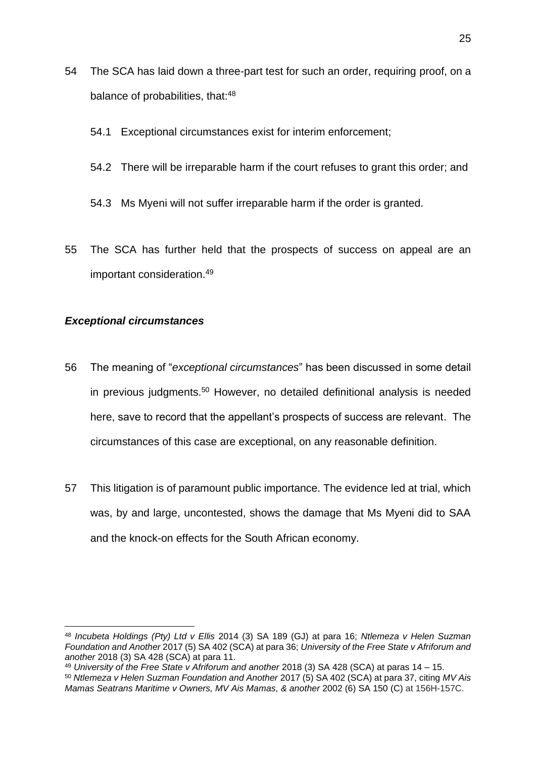- 54 The SCA has laid down a three-part test for such an order, requiring proof, on a balance of probabilities, that:<sup>48</sup>
	- 54.1 Exceptional circumstances exist for interim enforcement;
	- 54.2 There will be irreparable harm if the court refuses to grant this order; and
	- 54.3 Ms Myeni will not suffer irreparable harm if the order is granted.
- 55 The SCA has further held that the prospects of success on appeal are an important consideration.<sup>49</sup>

## <span id="page-25-0"></span>*Exceptional circumstances*

- 56 The meaning of "*exceptional circumstances*" has been discussed in some detail in previous judgments.<sup>50</sup> However, no detailed definitional analysis is needed here, save to record that the appellant's prospects of success are relevant. The circumstances of this case are exceptional, on any reasonable definition.
- 57 This litigation is of paramount public importance. The evidence led at trial, which was, by and large, uncontested, shows the damage that Ms Myeni did to SAA and the knock-on effects for the South African economy.

<sup>48</sup> *Incubeta Holdings (Pty) Ltd v Ellis* 2014 (3) SA 189 (GJ) at para 16; *Ntlemeza v Helen Suzman Foundation and Another* 2017 (5) SA 402 (SCA) at para 36; *University of the Free State v Afriforum and another* 2018 (3) SA 428 (SCA) at para 11.

<sup>49</sup> *University of the Free State v Afriforum and another* 2018 (3) SA 428 (SCA) at paras 14 – 15.

<sup>50</sup> *Ntlemeza v Helen Suzman Foundation and Another* 2017 (5) SA 402 (SCA) at para 37, citing *MV Ais Mamas Seatrans Maritime v Owners, MV Ais Mamas, & another* 2002 (6) SA 150 (C) at 156H-157C.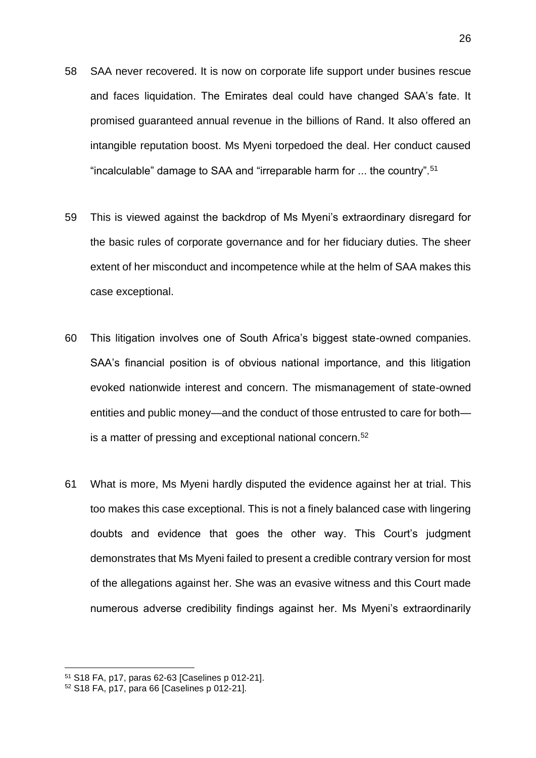- 58 SAA never recovered. It is now on corporate life support under busines rescue and faces liquidation. The Emirates deal could have changed SAA's fate. It promised guaranteed annual revenue in the billions of Rand. It also offered an intangible reputation boost. Ms Myeni torpedoed the deal. Her conduct caused "incalculable" damage to SAA and "irreparable harm for ... the country".<sup>51</sup>
- 59 This is viewed against the backdrop of Ms Myeni's extraordinary disregard for the basic rules of corporate governance and for her fiduciary duties. The sheer extent of her misconduct and incompetence while at the helm of SAA makes this case exceptional.
- 60 This litigation involves one of South Africa's biggest state-owned companies. SAA's financial position is of obvious national importance, and this litigation evoked nationwide interest and concern. The mismanagement of state-owned entities and public money—and the conduct of those entrusted to care for both is a matter of pressing and exceptional national concern.<sup>52</sup>
- 61 What is more, Ms Myeni hardly disputed the evidence against her at trial. This too makes this case exceptional. This is not a finely balanced case with lingering doubts and evidence that goes the other way. This Court's judgment demonstrates that Ms Myeni failed to present a credible contrary version for most of the allegations against her. She was an evasive witness and this Court made numerous adverse credibility findings against her. Ms Myeni's extraordinarily

<sup>51</sup> S18 FA, p17, paras 62-63 [Caselines p 012-21].

<sup>52</sup> S18 FA, p17, para 66 [Caselines p 012-21].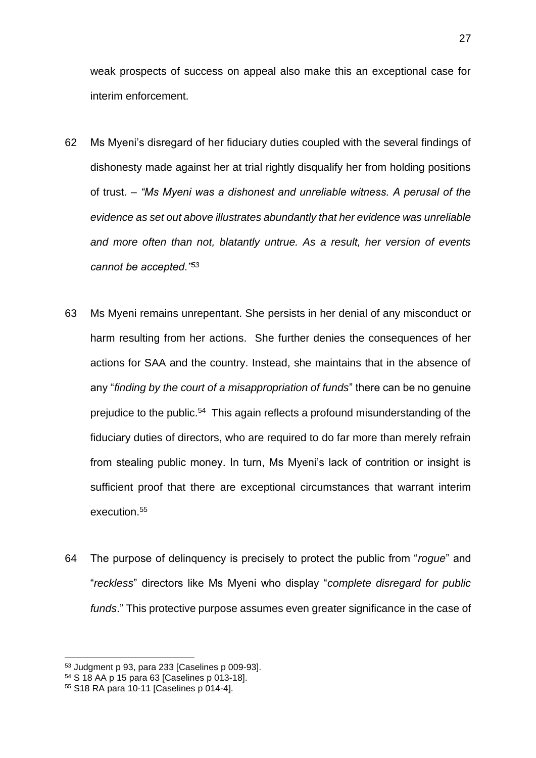weak prospects of success on appeal also make this an exceptional case for interim enforcement.

- 62 Ms Myeni's disregard of her fiduciary duties coupled with the several findings of dishonesty made against her at trial rightly disqualify her from holding positions of trust. – *"Ms Myeni was a dishonest and unreliable witness. A perusal of the evidence as set out above illustrates abundantly that her evidence was unreliable and more often than not, blatantly untrue. As a result, her version of events cannot be accepted."<sup>53</sup>*
- 63 Ms Myeni remains unrepentant. She persists in her denial of any misconduct or harm resulting from her actions. She further denies the consequences of her actions for SAA and the country. Instead, she maintains that in the absence of any "*finding by the court of a misappropriation of funds*" there can be no genuine prejudice to the public.<sup>54</sup> This again reflects a profound misunderstanding of the fiduciary duties of directors, who are required to do far more than merely refrain from stealing public money. In turn, Ms Myeni's lack of contrition or insight is sufficient proof that there are exceptional circumstances that warrant interim execution.<sup>55</sup>
- 64 The purpose of delinquency is precisely to protect the public from "*rogue*" and "*reckless*" directors like Ms Myeni who display "*complete disregard for public funds*." This protective purpose assumes even greater significance in the case of

<sup>53</sup> Judgment p 93, para 233 [Caselines p 009-93].

<sup>54</sup> S 18 AA p 15 para 63 [Caselines p 013-18].

<sup>55</sup> S18 RA para 10-11 [Caselines p 014-4].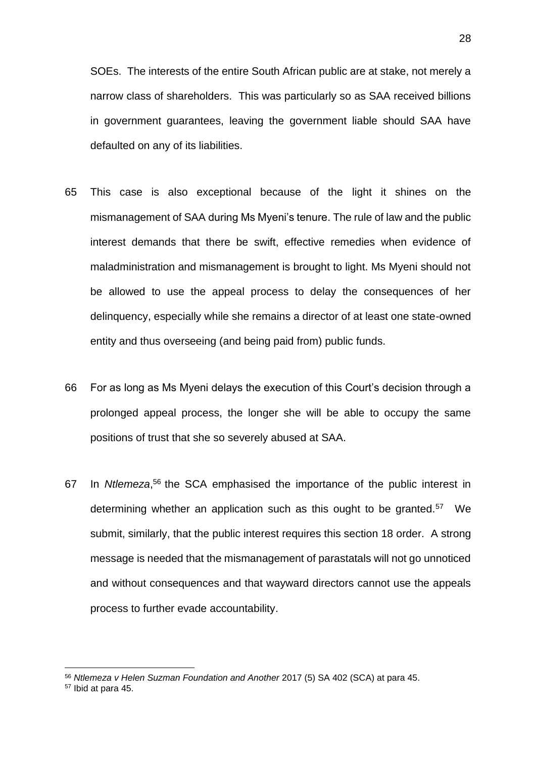SOEs. The interests of the entire South African public are at stake, not merely a narrow class of shareholders. This was particularly so as SAA received billions in government guarantees, leaving the government liable should SAA have defaulted on any of its liabilities.

- 65 This case is also exceptional because of the light it shines on the mismanagement of SAA during Ms Myeni's tenure. The rule of law and the public interest demands that there be swift, effective remedies when evidence of maladministration and mismanagement is brought to light. Ms Myeni should not be allowed to use the appeal process to delay the consequences of her delinquency, especially while she remains a director of at least one state-owned entity and thus overseeing (and being paid from) public funds.
- 66 For as long as Ms Myeni delays the execution of this Court's decision through a prolonged appeal process, the longer she will be able to occupy the same positions of trust that she so severely abused at SAA.
- 67 In *Ntlemeza*, <sup>56</sup> the SCA emphasised the importance of the public interest in determining whether an application such as this ought to be granted.<sup>57</sup> We submit, similarly, that the public interest requires this section 18 order. A strong message is needed that the mismanagement of parastatals will not go unnoticed and without consequences and that wayward directors cannot use the appeals process to further evade accountability.

<sup>56</sup> *Ntlemeza v Helen Suzman Foundation and Another* 2017 (5) SA 402 (SCA) at para 45.

<sup>57</sup> Ibid at para 45.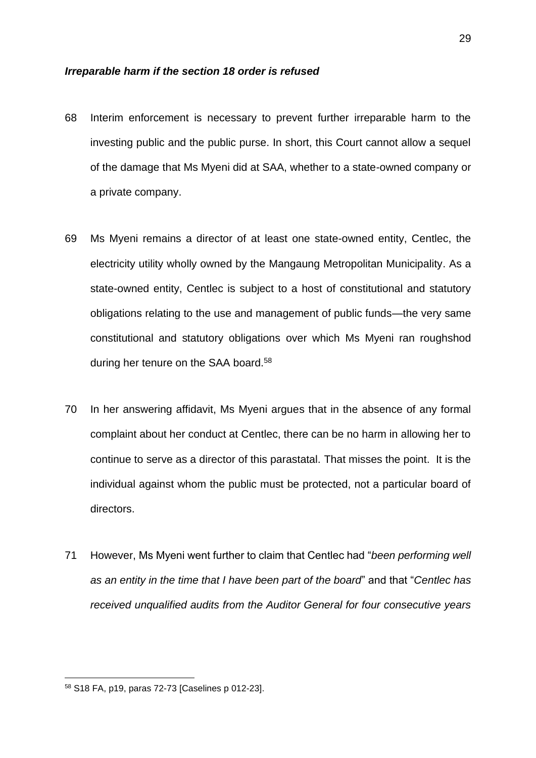#### <span id="page-29-0"></span>*Irreparable harm if the section 18 order is refused*

- 68 Interim enforcement is necessary to prevent further irreparable harm to the investing public and the public purse. In short, this Court cannot allow a sequel of the damage that Ms Myeni did at SAA, whether to a state-owned company or a private company.
- 69 Ms Myeni remains a director of at least one state-owned entity, Centlec, the electricity utility wholly owned by the Mangaung Metropolitan Municipality. As a state-owned entity, Centlec is subject to a host of constitutional and statutory obligations relating to the use and management of public funds—the very same constitutional and statutory obligations over which Ms Myeni ran roughshod during her tenure on the SAA board.<sup>58</sup>
- 70 In her answering affidavit, Ms Myeni argues that in the absence of any formal complaint about her conduct at Centlec, there can be no harm in allowing her to continue to serve as a director of this parastatal. That misses the point. It is the individual against whom the public must be protected, not a particular board of directors.
- 71 However, Ms Myeni went further to claim that Centlec had "*been performing well as an entity in the time that I have been part of the board*" and that "*Centlec has received unqualified audits from the Auditor General for four consecutive years*

<sup>58</sup> S18 FA, p19, paras 72-73 [Caselines p 012-23].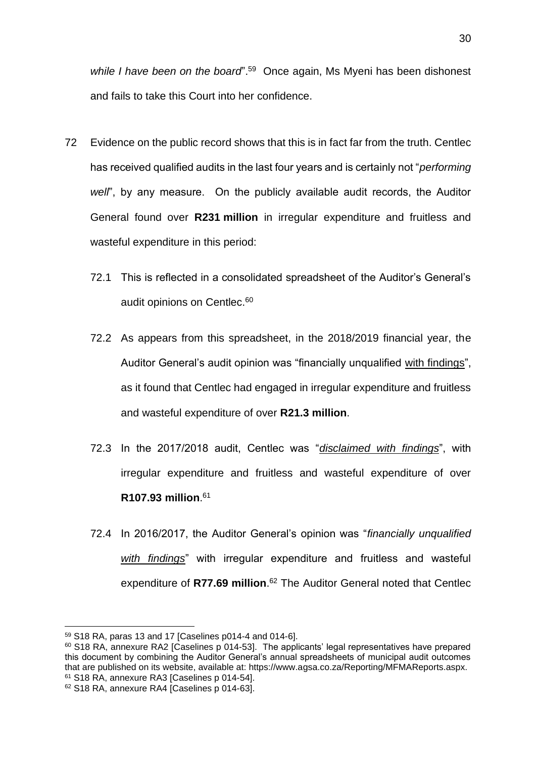while I have been on the board".<sup>59</sup> Once again, Ms Myeni has been dishonest and fails to take this Court into her confidence.

- 72 Evidence on the public record shows that this is in fact far from the truth. Centlec has received qualified audits in the last four years and is certainly not "*performing well*", by any measure. On the publicly available audit records, the Auditor General found over **R231 million** in irregular expenditure and fruitless and wasteful expenditure in this period:
	- 72.1 This is reflected in a consolidated spreadsheet of the Auditor's General's audit opinions on Centlec.<sup>60</sup>
	- 72.2 As appears from this spreadsheet, in the 2018/2019 financial year, the Auditor General's audit opinion was "financially unqualified with findings", as it found that Centlec had engaged in irregular expenditure and fruitless and wasteful expenditure of over **R21.3 million**.
	- 72.3 In the 2017/2018 audit, Centlec was "*disclaimed with findings*", with irregular expenditure and fruitless and wasteful expenditure of over **R107.93 million**. 61
	- 72.4 In 2016/2017, the Auditor General's opinion was "*financially unqualified with findings*" with irregular expenditure and fruitless and wasteful expenditure of **R77.69 million**. <sup>62</sup> The Auditor General noted that Centlec

<sup>59</sup> S18 RA, paras 13 and 17 [Caselines p014-4 and 014-6].

<sup>&</sup>lt;sup>60</sup> S18 RA, annexure RA2 [Caselines p 014-53]. The applicants' legal representatives have prepared this document by combining the Auditor General's annual spreadsheets of municipal audit outcomes that are published on its website, available at: https://www.agsa.co.za/Reporting/MFMAReports.aspx. <sup>61</sup> S18 RA, annexure RA3 [Caselines p 014-54].

<sup>62</sup> S18 RA, annexure RA4 [Caselines p 014-63].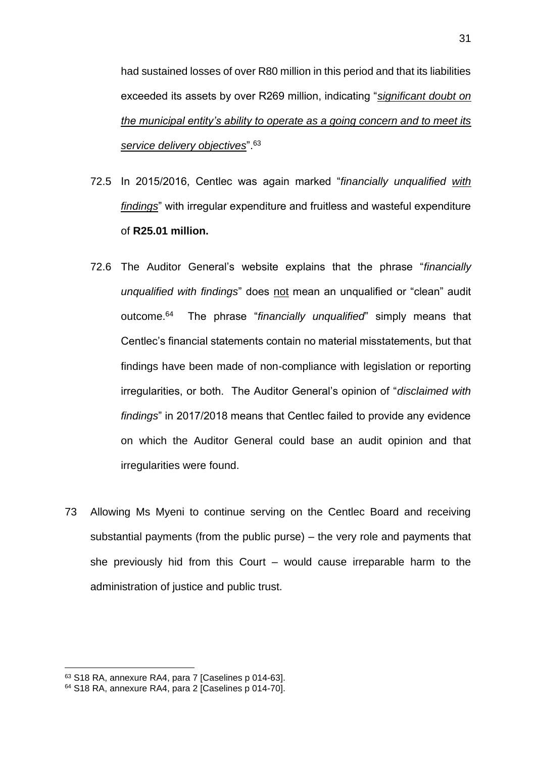had sustained losses of over R80 million in this period and that its liabilities exceeded its assets by over R269 million, indicating "*significant doubt on the municipal entity's ability to operate as a going concern and to meet its service delivery objectives*".<sup>63</sup>

- 72.5 In 2015/2016, Centlec was again marked "*financially unqualified with findings*" with irregular expenditure and fruitless and wasteful expenditure of **R25.01 million.**
- 72.6 The Auditor General's website explains that the phrase "*financially unqualified with findings*" does not mean an unqualified or "clean" audit outcome.<sup>64</sup> The phrase "*financially unqualified*" simply means that Centlec's financial statements contain no material misstatements, but that findings have been made of non-compliance with legislation or reporting irregularities, or both. The Auditor General's opinion of "*disclaimed with findings*" in 2017/2018 means that Centlec failed to provide any evidence on which the Auditor General could base an audit opinion and that irregularities were found.
- 73 Allowing Ms Myeni to continue serving on the Centlec Board and receiving substantial payments (from the public purse) – the very role and payments that she previously hid from this Court – would cause irreparable harm to the administration of justice and public trust.

<sup>63</sup> S18 RA, annexure RA4, para 7 [Caselines p 014-63].

<sup>64</sup> S18 RA, annexure RA4, para 2 [Caselines p 014-70].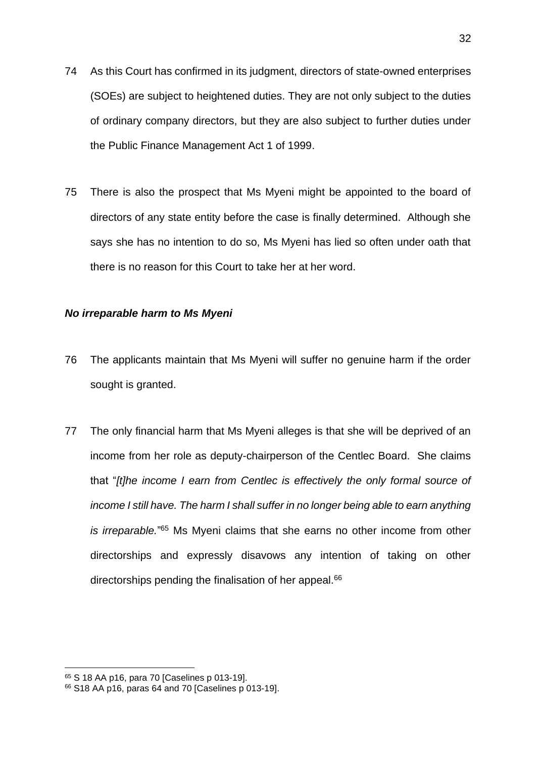- 74 As this Court has confirmed in its judgment, directors of state-owned enterprises (SOEs) are subject to heightened duties. They are not only subject to the duties of ordinary company directors, but they are also subject to further duties under the Public Finance Management Act 1 of 1999.
- 75 There is also the prospect that Ms Myeni might be appointed to the board of directors of any state entity before the case is finally determined. Although she says she has no intention to do so, Ms Myeni has lied so often under oath that there is no reason for this Court to take her at her word.

## <span id="page-32-0"></span>*No irreparable harm to Ms Myeni*

- 76 The applicants maintain that Ms Myeni will suffer no genuine harm if the order sought is granted.
- 77 The only financial harm that Ms Myeni alleges is that she will be deprived of an income from her role as deputy-chairperson of the Centlec Board. She claims that "*[t]he income I earn from Centlec is effectively the only formal source of income I still have. The harm I shall suffer in no longer being able to earn anything* is irreparable.<sup>"65</sup> Ms Myeni claims that she earns no other income from other directorships and expressly disavows any intention of taking on other directorships pending the finalisation of her appeal.<sup>66</sup>

<sup>65</sup> S 18 AA p16, para 70 [Caselines p 013-19].

<sup>66</sup> S18 AA p16, paras 64 and 70 [Caselines p 013-19].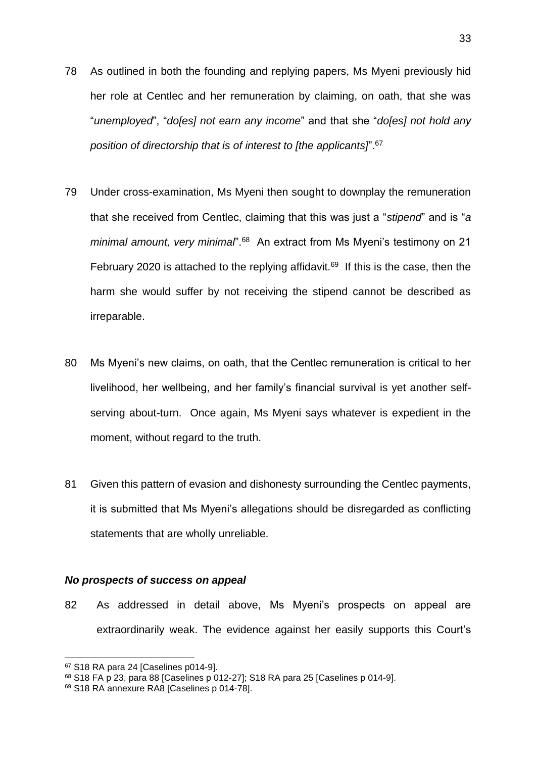- 78 As outlined in both the founding and replying papers, Ms Myeni previously hid her role at Centlec and her remuneration by claiming, on oath, that she was "*unemployed*", "*do[es] not earn any income*" and that she "*do[es] not hold any position of directorship that is of interest to [the applicants]*".<sup>67</sup>
- 79 Under cross-examination, Ms Myeni then sought to downplay the remuneration that she received from Centlec, claiming that this was just a "*stipend*" and is "*a*  minimal amount, very minimal<sup>".68</sup> An extract from Ms Myeni's testimony on 21 February 2020 is attached to the replying affidavit.<sup>69</sup> If this is the case, then the harm she would suffer by not receiving the stipend cannot be described as irreparable.
- 80 Ms Myeni's new claims, on oath, that the Centlec remuneration is critical to her livelihood, her wellbeing, and her family's financial survival is yet another selfserving about-turn. Once again, Ms Myeni says whatever is expedient in the moment, without regard to the truth.
- 81 Given this pattern of evasion and dishonesty surrounding the Centlec payments, it is submitted that Ms Myeni's allegations should be disregarded as conflicting statements that are wholly unreliable.

## <span id="page-33-0"></span>*No prospects of success on appeal*

82 As addressed in detail above, Ms Myeni's prospects on appeal are extraordinarily weak. The evidence against her easily supports this Court's

<sup>67</sup> S18 RA para 24 [Caselines p014-9].

<sup>68</sup> S18 FA p 23, para 88 [Caselines p 012-27]; S18 RA para 25 [Caselines p 014-9].

<sup>69</sup> S18 RA annexure RA8 [Caselines p 014-78].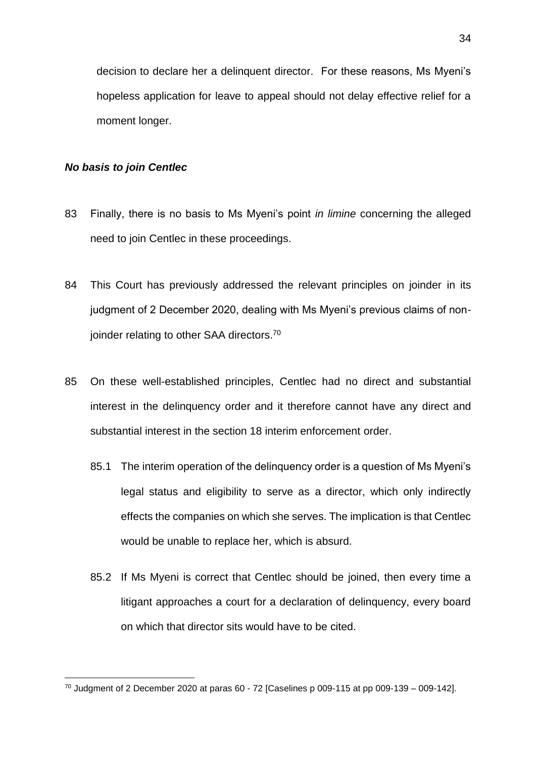decision to declare her a delinquent director. For these reasons, Ms Myeni's hopeless application for leave to appeal should not delay effective relief for a moment longer.

## <span id="page-34-0"></span>*No basis to join Centlec*

- 83 Finally, there is no basis to Ms Myeni's point *in limine* concerning the alleged need to join Centlec in these proceedings.
- 84 This Court has previously addressed the relevant principles on joinder in its judgment of 2 December 2020, dealing with Ms Myeni's previous claims of nonjoinder relating to other SAA directors.<sup>70</sup>
- 85 On these well-established principles, Centlec had no direct and substantial interest in the delinquency order and it therefore cannot have any direct and substantial interest in the section 18 interim enforcement order.
	- 85.1 The interim operation of the delinquency order is a question of Ms Myeni's legal status and eligibility to serve as a director, which only indirectly effects the companies on which she serves. The implication is that Centlec would be unable to replace her, which is absurd.
	- 85.2 If Ms Myeni is correct that Centlec should be joined, then every time a litigant approaches a court for a declaration of delinquency, every board on which that director sits would have to be cited.

 $70$  Judgment of 2 December 2020 at paras 60 - 72 [Caselines p 009-115 at pp 009-139 – 009-142].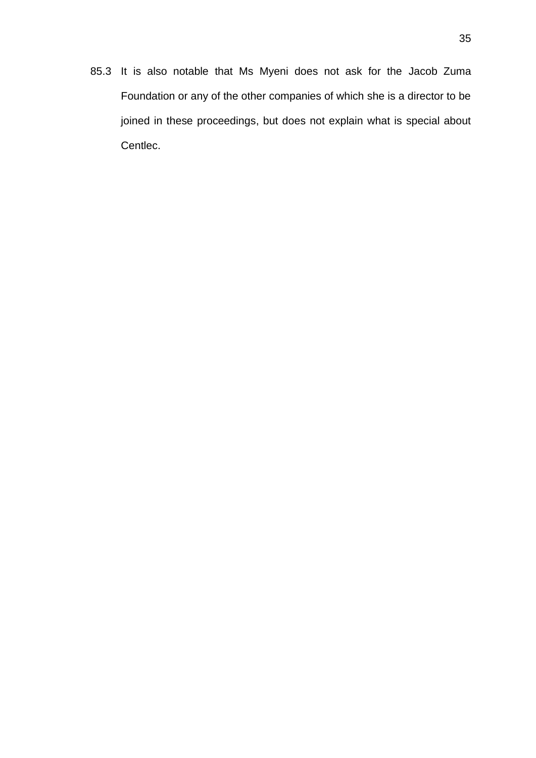85.3 It is also notable that Ms Myeni does not ask for the Jacob Zuma Foundation or any of the other companies of which she is a director to be joined in these proceedings, but does not explain what is special about Centlec.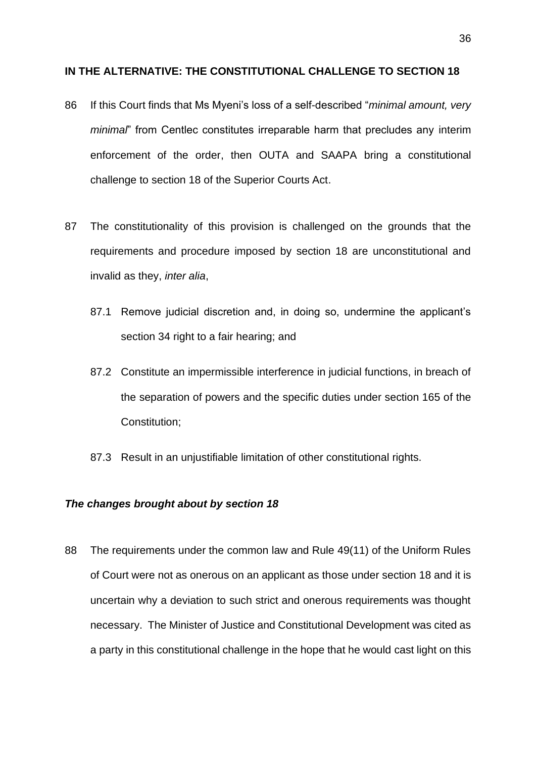#### <span id="page-36-0"></span>**IN THE ALTERNATIVE: THE CONSTITUTIONAL CHALLENGE TO SECTION 18**

- 86 If this Court finds that Ms Myeni's loss of a self-described "*minimal amount, very minimal*" from Centlec constitutes irreparable harm that precludes any interim enforcement of the order, then OUTA and SAAPA bring a constitutional challenge to section 18 of the Superior Courts Act.
- 87 The constitutionality of this provision is challenged on the grounds that the requirements and procedure imposed by section 18 are unconstitutional and invalid as they, *inter alia*,
	- 87.1 Remove judicial discretion and, in doing so, undermine the applicant's section 34 right to a fair hearing; and
	- 87.2 Constitute an impermissible interference in judicial functions, in breach of the separation of powers and the specific duties under section 165 of the Constitution;
	- 87.3 Result in an unjustifiable limitation of other constitutional rights.

## <span id="page-36-1"></span>*The changes brought about by section 18*

88 The requirements under the common law and Rule 49(11) of the Uniform Rules of Court were not as onerous on an applicant as those under section 18 and it is uncertain why a deviation to such strict and onerous requirements was thought necessary. The Minister of Justice and Constitutional Development was cited as a party in this constitutional challenge in the hope that he would cast light on this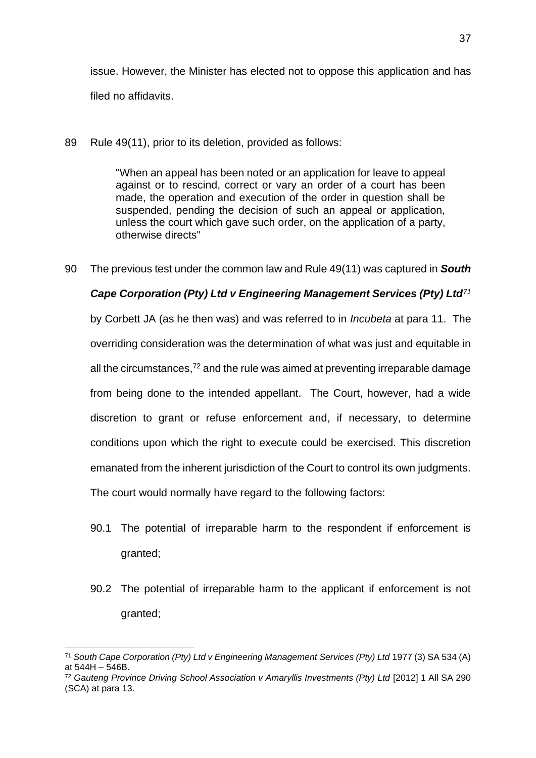issue. However, the Minister has elected not to oppose this application and has filed no affidavits.

89 Rule 49(11), prior to its deletion, provided as follows:

"When an appeal has been noted or an application for leave to appeal against or to rescind, correct or vary an order of a court has been made, the operation and execution of the order in question shall be suspended, pending the decision of such an appeal or application, unless the court which gave such order, on the application of a party, otherwise directs"

90 The previous test under the common law and Rule 49(11) was captured in *South* 

## *Cape Corporation (Pty) Ltd v Engineering Management Services (Pty) Ltd<sup>71</sup>*

by Corbett JA (as he then was) and was referred to in *Incubeta* at para 11. The overriding consideration was the determination of what was just and equitable in all the circumstances, $72$  and the rule was aimed at preventing irreparable damage from being done to the intended appellant. The Court, however, had a wide discretion to grant or refuse enforcement and, if necessary, to determine conditions upon which the right to execute could be exercised. This discretion emanated from the inherent jurisdiction of the Court to control its own judgments. The court would normally have regard to the following factors:

- 90.1 The potential of irreparable harm to the respondent if enforcement is granted;
- 90.2 The potential of irreparable harm to the applicant if enforcement is not granted;

<sup>71</sup> *South Cape Corporation (Pty) Ltd v Engineering Management Services (Pty) Ltd* 1977 (3) SA 534 (A) at 544H – 546B.

<sup>&</sup>lt;sup>72</sup> Gauteng Province Driving School Association v Amaryllis Investments (Pty) Ltd [2012] 1 All SA 290 (SCA) at para 13.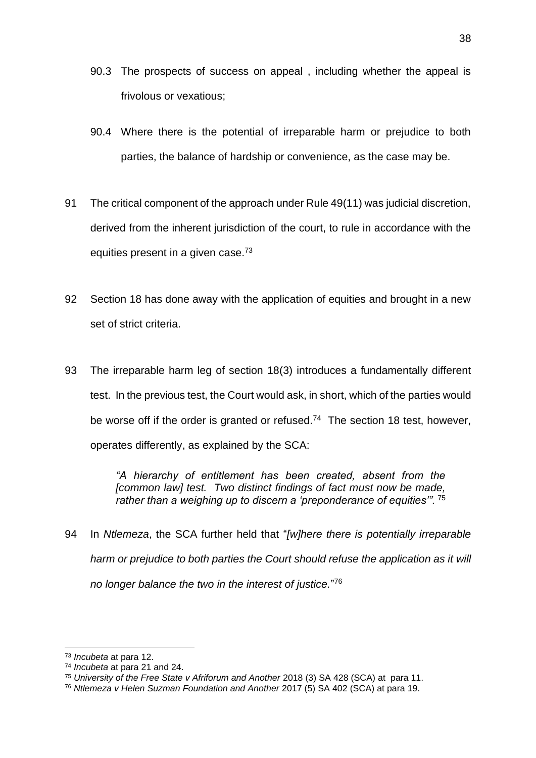- 90.3 The prospects of success on appeal , including whether the appeal is frivolous or vexatious;
- 90.4 Where there is the potential of irreparable harm or prejudice to both parties, the balance of hardship or convenience, as the case may be.
- 91 The critical component of the approach under Rule 49(11) was judicial discretion, derived from the inherent jurisdiction of the court, to rule in accordance with the equities present in a given case.<sup>73</sup>
- 92 Section 18 has done away with the application of equities and brought in a new set of strict criteria.
- 93 The irreparable harm leg of section 18(3) introduces a fundamentally different test. In the previous test, the Court would ask, in short, which of the parties would be worse off if the order is granted or refused.<sup>74</sup> The section 18 test, however, operates differently, as explained by the SCA:

*"A hierarchy of entitlement has been created, absent from the [common law] test. Two distinct findings of fact must now be made, rather than a weighing up to discern a 'preponderance of equities'".* <sup>75</sup>

94 In *Ntlemeza*, the SCA further held that "*[w]here there is potentially irreparable harm or prejudice to both parties the Court should refuse the application as it will no longer balance the two in the interest of justice.*" 76

<sup>73</sup> *Incubeta* at para 12.

<sup>74</sup> *Incubeta* at para 21 and 24.

<sup>75</sup> *University of the Free State v Afriforum and Another* 2018 (3) SA 428 (SCA) at para 11.

<sup>76</sup> *Ntlemeza v Helen Suzman Foundation and Another* 2017 (5) SA 402 (SCA) at para 19.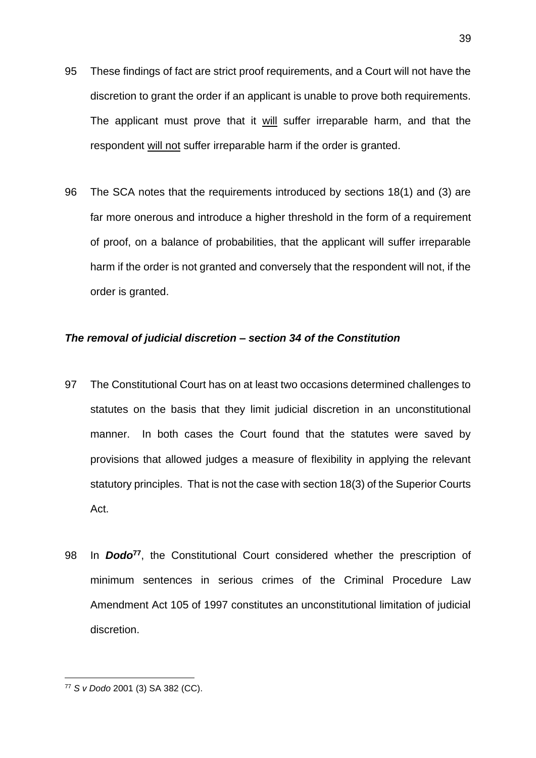- 95 These findings of fact are strict proof requirements, and a Court will not have the discretion to grant the order if an applicant is unable to prove both requirements. The applicant must prove that it will suffer irreparable harm, and that the respondent will not suffer irreparable harm if the order is granted.
- 96 The SCA notes that the requirements introduced by sections 18(1) and (3) are far more onerous and introduce a higher threshold in the form of a requirement of proof, on a balance of probabilities, that the applicant will suffer irreparable harm if the order is not granted and conversely that the respondent will not, if the order is granted.

## <span id="page-39-0"></span>*The removal of judicial discretion – section 34 of the Constitution*

- 97 The Constitutional Court has on at least two occasions determined challenges to statutes on the basis that they limit judicial discretion in an unconstitutional manner. In both cases the Court found that the statutes were saved by provisions that allowed judges a measure of flexibility in applying the relevant statutory principles. That is not the case with section 18(3) of the Superior Courts Act.
- 98 In *Dodo***<sup>77</sup>**, the Constitutional Court considered whether the prescription of minimum sentences in serious crimes of the Criminal Procedure Law Amendment Act 105 of 1997 constitutes an unconstitutional limitation of judicial discretion.

<sup>77</sup> *S v Dodo* 2001 (3) SA 382 (CC).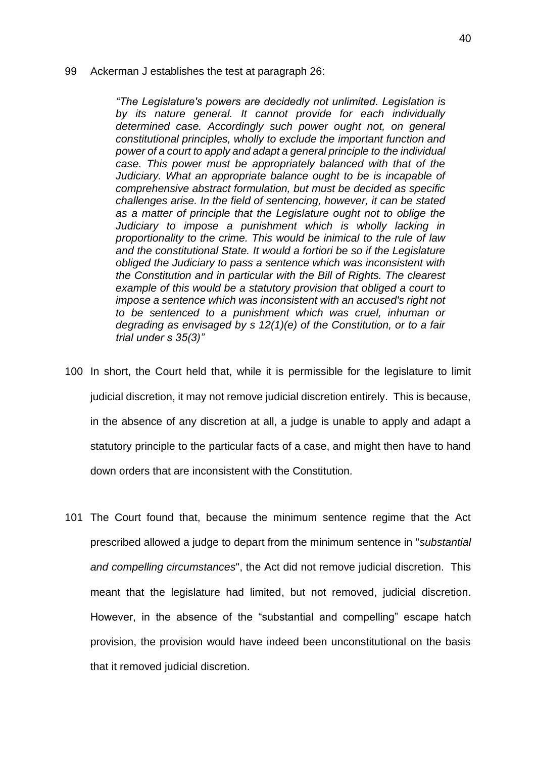#### 99 Ackerman J establishes the test at paragraph 26:

*"The Legislature's powers are decidedly not unlimited. Legislation is by its nature general. It cannot provide for each individually determined case. Accordingly such power ought not, on general constitutional principles, wholly to exclude the important function and power of a court to apply and adapt a general principle to the individual case. This power must be appropriately balanced with that of the Judiciary. What an appropriate balance ought to be is incapable of comprehensive abstract formulation, but must be decided as specific challenges arise. In the field of sentencing, however, it can be stated as a matter of principle that the Legislature ought not to oblige the*  Judiciary to impose a punishment which is wholly lacking in *proportionality to the crime. This would be inimical to the rule of law and the constitutional State. It would a fortiori be so if the Legislature obliged the Judiciary to pass a sentence which was inconsistent with the Constitution and in particular with the Bill of Rights. The clearest example of this would be a statutory provision that obliged a court to impose a sentence which was inconsistent with an accused's right not to be sentenced to a punishment which was cruel, inhuman or degrading as envisaged by s 12(1)(e) of the Constitution, or to a fair trial under s 35(3)"*

- 100 In short, the Court held that, while it is permissible for the legislature to limit judicial discretion, it may not remove judicial discretion entirely. This is because, in the absence of any discretion at all, a judge is unable to apply and adapt a statutory principle to the particular facts of a case, and might then have to hand down orders that are inconsistent with the Constitution.
- 101 The Court found that, because the minimum sentence regime that the Act prescribed allowed a judge to depart from the minimum sentence in "*substantial and compelling circumstances*", the Act did not remove judicial discretion. This meant that the legislature had limited, but not removed, judicial discretion. However, in the absence of the "substantial and compelling" escape hatch provision, the provision would have indeed been unconstitutional on the basis that it removed judicial discretion.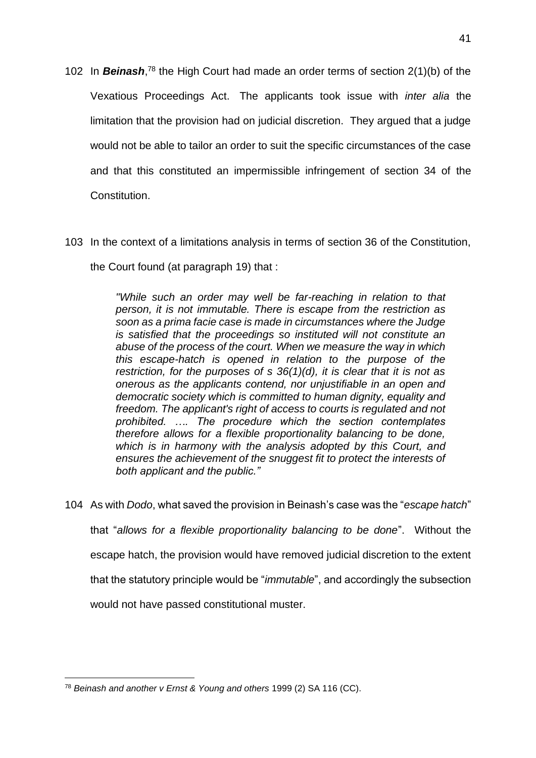- 102 In *Beinash*, <sup>78</sup> the High Court had made an order terms of section 2(1)(b) of the Vexatious Proceedings Act. The applicants took issue with *inter alia* the limitation that the provision had on judicial discretion. They argued that a judge would not be able to tailor an order to suit the specific circumstances of the case and that this constituted an impermissible infringement of section 34 of the Constitution.
- 103 In the context of a limitations analysis in terms of section 36 of the Constitution, the Court found (at paragraph 19) that :

*"While such an order may well be far-reaching in relation to that person, it is not immutable. There is escape from the restriction as soon as a prima facie case is made in circumstances where the Judge is satisfied that the proceedings so instituted will not constitute an abuse of the process of the court. When we measure the way in which this escape-hatch is opened in relation to the purpose of the restriction, for the purposes of s 36(1)(d), it is clear that it is not as onerous as the applicants contend, nor unjustifiable in an open and democratic society which is committed to human dignity, equality and freedom. The applicant's right of access to courts is regulated and not prohibited. …. The procedure which the section contemplates therefore allows for a flexible proportionality balancing to be done, which is in harmony with the analysis adopted by this Court, and ensures the achievement of the snuggest fit to protect the interests of both applicant and the public."*

104 As with *Dodo*, what saved the provision in Beinash's case was the "*escape hatch*" that "*allows for a flexible proportionality balancing to be done*".Without the escape hatch, the provision would have removed judicial discretion to the extent that the statutory principle would be "*immutable*", and accordingly the subsection would not have passed constitutional muster.

<sup>78</sup> *Beinash and another v Ernst & Young and others* 1999 (2) SA 116 (CC).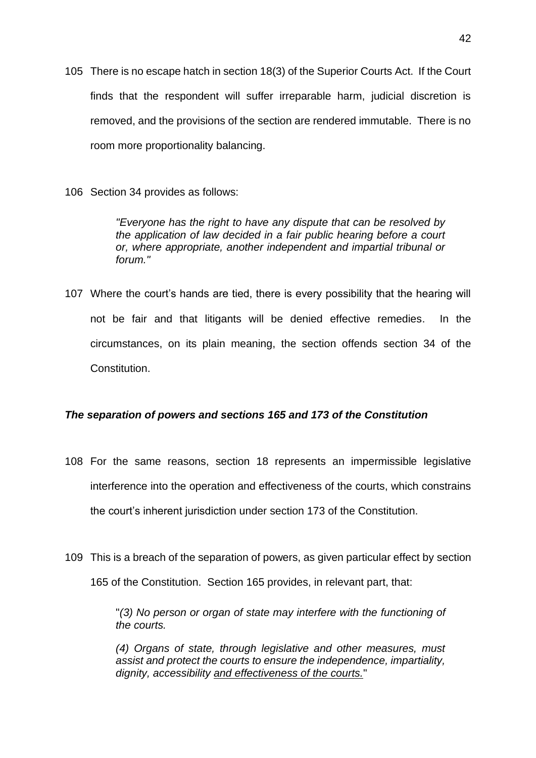- 105 There is no escape hatch in section 18(3) of the Superior Courts Act. If the Court finds that the respondent will suffer irreparable harm, judicial discretion is removed, and the provisions of the section are rendered immutable. There is no room more proportionality balancing.
- 106 Section 34 provides as follows:

*"Everyone has the right to have any dispute that can be resolved by the application of law decided in a fair public hearing before a court or, where appropriate, another independent and impartial tribunal or forum."*

107 Where the court's hands are tied, there is every possibility that the hearing will not be fair and that litigants will be denied effective remedies.In the circumstances, on its plain meaning, the section offends section 34 of the Constitution.

## <span id="page-42-0"></span>*The separation of powers and sections 165 and 173 of the Constitution*

- 108 For the same reasons, section 18 represents an impermissible legislative interference into the operation and effectiveness of the courts, which constrains the court's inherent jurisdiction under section 173 of the Constitution.
- 109 This is a breach of the separation of powers, as given particular effect by section 165 of the Constitution. Section 165 provides, in relevant part, that:

"*(3) No person or organ of state may interfere with the functioning of the courts.*

*(4) Organs of state, through legislative and other measures, must assist and protect the courts to ensure the independence, impartiality, dignity, accessibility and effectiveness of the courts.*"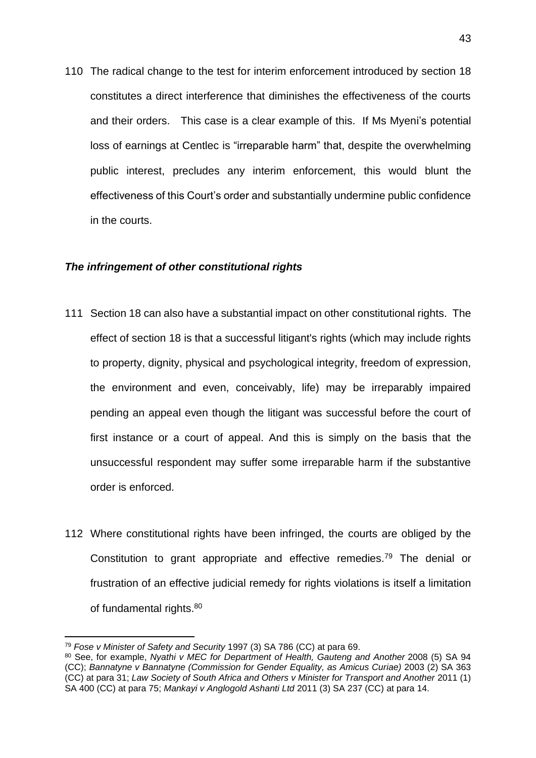110 The radical change to the test for interim enforcement introduced by section 18 constitutes a direct interference that diminishes the effectiveness of the courts and their orders. This case is a clear example of this. If Ms Myeni's potential loss of earnings at Centlec is "irreparable harm" that, despite the overwhelming public interest, precludes any interim enforcement, this would blunt the effectiveness of this Court's order and substantially undermine public confidence in the courts.

#### <span id="page-43-0"></span>*The infringement of other constitutional rights*

- 111 Section 18 can also have a substantial impact on other constitutional rights. The effect of section 18 is that a successful litigant's rights (which may include rights to property, dignity, physical and psychological integrity, freedom of expression, the environment and even, conceivably, life) may be irreparably impaired pending an appeal even though the litigant was successful before the court of first instance or a court of appeal. And this is simply on the basis that the unsuccessful respondent may suffer some irreparable harm if the substantive order is enforced.
- 112 Where constitutional rights have been infringed, the courts are obliged by the Constitution to grant appropriate and effective remedies.<sup>79</sup> The denial or frustration of an effective judicial remedy for rights violations is itself a limitation of fundamental rights.<sup>80</sup>

<sup>79</sup> *Fose v Minister of Safety and Security* 1997 (3) SA 786 (CC) at para 69.

<sup>80</sup> See, for example, *Nyathi v MEC for Department of Health, Gauteng and Another* 2008 (5) SA 94 (CC); *Bannatyne v Bannatyne (Commission for Gender Equality, as Amicus Curiae)* 2003 (2) SA 363 (CC) at para 31; *Law Society of South Africa and Others v Minister for Transport and Another* 2011 (1) SA 400 (CC) at para 75; *Mankayi v Anglogold Ashanti Ltd* 2011 (3) SA 237 (CC) at para 14.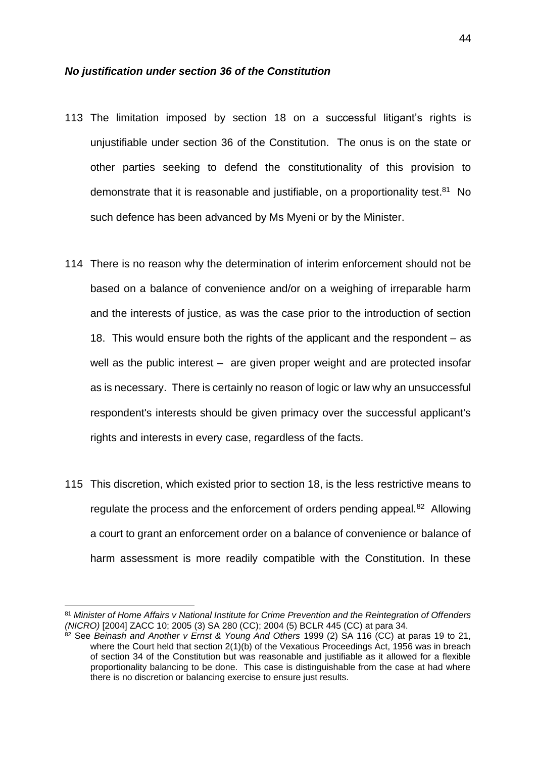#### <span id="page-44-0"></span>*No justification under section 36 of the Constitution*

- 113 The limitation imposed by section 18 on a successful litigant's rights is unjustifiable under section 36 of the Constitution. The onus is on the state or other parties seeking to defend the constitutionality of this provision to demonstrate that it is reasonable and justifiable, on a proportionality test.<sup>81</sup> No such defence has been advanced by Ms Myeni or by the Minister.
- 114 There is no reason why the determination of interim enforcement should not be based on a balance of convenience and/or on a weighing of irreparable harm and the interests of justice, as was the case prior to the introduction of section 18. This would ensure both the rights of the applicant and the respondent – as well as the public interest – are given proper weight and are protected insofar as is necessary. There is certainly no reason of logic or law why an unsuccessful respondent's interests should be given primacy over the successful applicant's rights and interests in every case, regardless of the facts.
- 115 This discretion, which existed prior to section 18, is the less restrictive means to regulate the process and the enforcement of orders pending appeal.<sup>82</sup> Allowing a court to grant an enforcement order on a balance of convenience or balance of harm assessment is more readily compatible with the Constitution. In these

<sup>81</sup> *Minister of Home Affairs v National Institute for Crime Prevention and the Reintegration of Offenders (NICRO)* [2004] ZACC 10; 2005 (3) SA 280 (CC); 2004 (5) BCLR 445 (CC) at para 34.

<sup>&</sup>lt;sup>82</sup> See *Beinash and Another v Ernst & Young And Others* 1999 (2) SA 116 (CC) at paras 19 to 21, where the Court held that section 2(1)(b) of the Vexatious Proceedings Act, 1956 was in breach of section 34 of the Constitution but was reasonable and justifiable as it allowed for a flexible proportionality balancing to be done. This case is distinguishable from the case at had where there is no discretion or balancing exercise to ensure just results.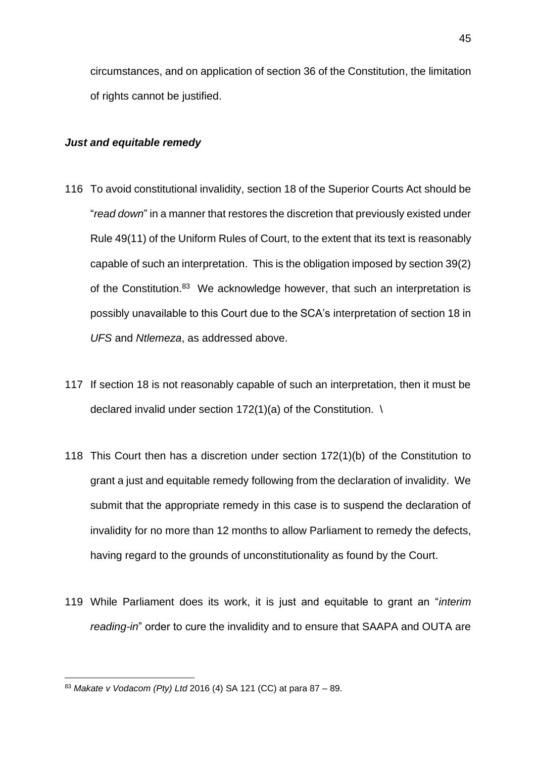circumstances, and on application of section 36 of the Constitution, the limitation of rights cannot be justified.

## <span id="page-45-0"></span>*Just and equitable remedy*

- 116 To avoid constitutional invalidity, section 18 of the Superior Courts Act should be "*read down*" in a manner that restores the discretion that previously existed under Rule 49(11) of the Uniform Rules of Court, to the extent that its text is reasonably capable of such an interpretation. This is the obligation imposed by section 39(2) of the Constitution.<sup>83</sup> We acknowledge however, that such an interpretation is possibly unavailable to this Court due to the SCA's interpretation of section 18 in *UFS* and *Ntlemeza*, as addressed above.
- 117 If section 18 is not reasonably capable of such an interpretation, then it must be declared invalid under section 172(1)(a) of the Constitution. \
- 118 This Court then has a discretion under section 172(1)(b) of the Constitution to grant a just and equitable remedy following from the declaration of invalidity. We submit that the appropriate remedy in this case is to suspend the declaration of invalidity for no more than 12 months to allow Parliament to remedy the defects, having regard to the grounds of unconstitutionality as found by the Court.
- 119 While Parliament does its work, it is just and equitable to grant an "*interim reading-in*" order to cure the invalidity and to ensure that SAAPA and OUTA are

<sup>83</sup> *Makate v Vodacom (Pty) Ltd* 2016 (4) SA 121 (CC) at para 87 – 89.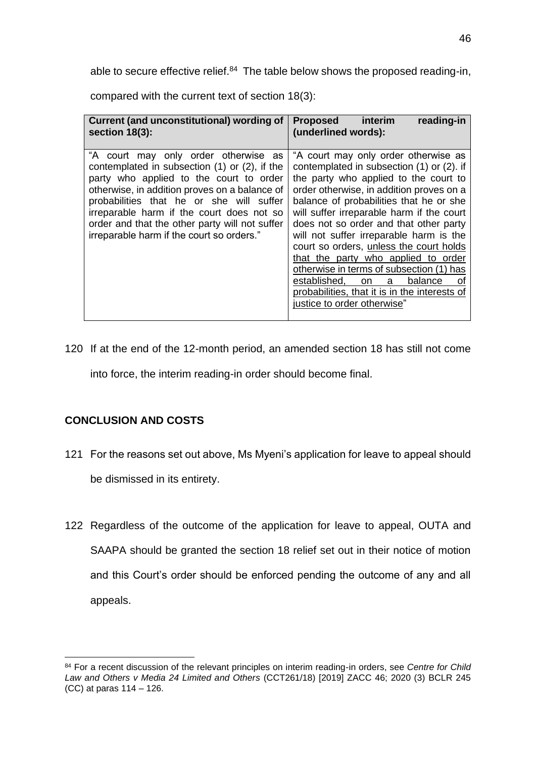able to secure effective relief.<sup>84</sup> The table below shows the proposed reading-in,

compared with the current text of section 18(3):

| Current (and unconstitutional) wording of<br>section $18(3)$ :                                                                                                                                                                                                                                                                                                            | reading-in<br>interim<br><b>Proposed</b><br>(underlined words):                                                                                                                                                                                                                                                                                                                                                                                                                                                                                                                                                      |
|---------------------------------------------------------------------------------------------------------------------------------------------------------------------------------------------------------------------------------------------------------------------------------------------------------------------------------------------------------------------------|----------------------------------------------------------------------------------------------------------------------------------------------------------------------------------------------------------------------------------------------------------------------------------------------------------------------------------------------------------------------------------------------------------------------------------------------------------------------------------------------------------------------------------------------------------------------------------------------------------------------|
| "A court may only order otherwise as<br>contemplated in subsection (1) or (2), if the<br>party who applied to the court to order<br>otherwise, in addition proves on a balance of<br>probabilities that he or she will suffer<br>irreparable harm if the court does not so<br>order and that the other party will not suffer<br>irreparable harm if the court so orders." | "A court may only order otherwise as<br>contemplated in subsection (1) or (2). if<br>the party who applied to the court to<br>order otherwise, in addition proves on a<br>balance of probabilities that he or she<br>will suffer irreparable harm if the court<br>does not so order and that other party<br>will not suffer irreparable harm is the<br>court so orders, unless the court holds<br>that the party who applied to order<br>otherwise in terms of subsection (1) has<br>established,<br>balance<br>a<br><b>on</b><br>оf<br>probabilities, that it is in the interests of<br>justice to order otherwise" |

120 If at the end of the 12-month period, an amended section 18 has still not come into force, the interim reading-in order should become final.

## <span id="page-46-0"></span>**CONCLUSION AND COSTS**

- 121 For the reasons set out above, Ms Myeni's application for leave to appeal should be dismissed in its entirety.
- 122 Regardless of the outcome of the application for leave to appeal, OUTA and SAAPA should be granted the section 18 relief set out in their notice of motion and this Court's order should be enforced pending the outcome of any and all appeals.

<sup>84</sup> For a recent discussion of the relevant principles on interim reading-in orders, see *Centre for Child Law and Others v Media 24 Limited and Others* (CCT261/18) [2019] ZACC 46; 2020 (3) BCLR 245 (CC) at paras 114 – 126.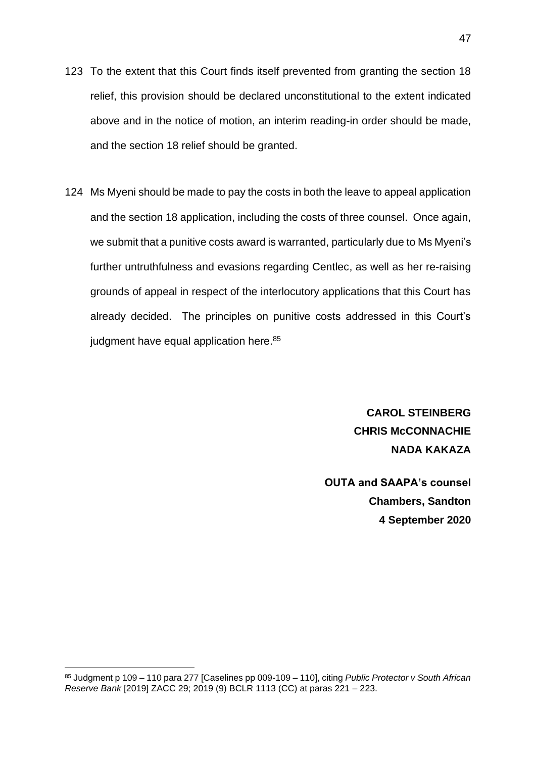- 123 To the extent that this Court finds itself prevented from granting the section 18 relief, this provision should be declared unconstitutional to the extent indicated above and in the notice of motion, an interim reading-in order should be made, and the section 18 relief should be granted.
- 124 Ms Myeni should be made to pay the costs in both the leave to appeal application and the section 18 application, including the costs of three counsel. Once again, we submit that a punitive costs award is warranted, particularly due to Ms Myeni's further untruthfulness and evasions regarding Centlec, as well as her re-raising grounds of appeal in respect of the interlocutory applications that this Court has already decided. The principles on punitive costs addressed in this Court's judgment have equal application here.<sup>85</sup>

**CAROL STEINBERG CHRIS McCONNACHIE NADA KAKAZA**

**OUTA and SAAPA's counsel Chambers, Sandton 4 September 2020**

<sup>85</sup> Judgment p 109 – 110 para 277 [Caselines pp 009-109 – 110], citing *Public Protector v South African Reserve Bank* [2019] ZACC 29; 2019 (9) BCLR 1113 (CC) at paras 221 – 223.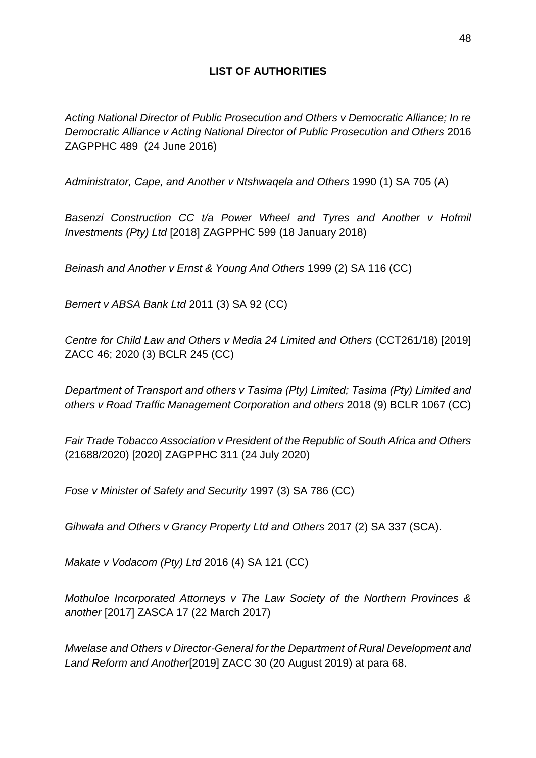## **LIST OF AUTHORITIES**

*Acting National Director of Public Prosecution and Others v Democratic Alliance; In re Democratic Alliance v Acting National Director of Public Prosecution and Others* 2016 ZAGPPHC 489 (24 June 2016)

*Administrator, Cape, and Another v Ntshwaqela and Others* 1990 (1) SA 705 (A)

*Basenzi Construction CC t/a Power Wheel and Tyres and Another v Hofmil Investments (Pty) Ltd* [2018] ZAGPPHC 599 (18 January 2018)

*Beinash and Another v Ernst & Young And Others* 1999 (2) SA 116 (CC)

*Bernert v ABSA Bank Ltd* 2011 (3) SA 92 (CC)

*Centre for Child Law and Others v Media 24 Limited and Others* (CCT261/18) [2019] ZACC 46; 2020 (3) BCLR 245 (CC)

*Department of Transport and others v Tasima (Pty) Limited; Tasima (Pty) Limited and others v Road Traffic Management Corporation and others* 2018 (9) BCLR 1067 (CC)

*Fair Trade Tobacco Association v President of the Republic of South Africa and Others* (21688/2020) [2020] ZAGPPHC 311 (24 July 2020)

*Fose v Minister of Safety and Security* 1997 (3) SA 786 (CC)

*Gihwala and Others v Grancy Property Ltd and Others* 2017 (2) SA 337 (SCA).

*Makate v Vodacom (Pty) Ltd* 2016 (4) SA 121 (CC)

*Mothuloe Incorporated Attorneys v The Law Society of the Northern Provinces & another* [2017] ZASCA 17 (22 March 2017)

*Mwelase and Others v Director-General for the Department of Rural Development and Land Reform and Another*[2019] ZACC 30 (20 August 2019) at para 68.